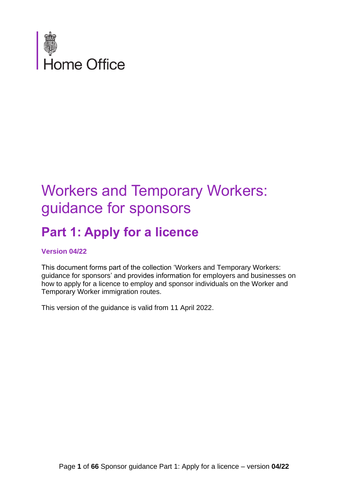

# Workers and Temporary Workers: guidance for sponsors

# **Part 1: Apply for a licence**

#### **Version 04/22**

This document forms part of the collection 'Workers and Temporary Workers: guidance for sponsors' and provides information for employers and businesses on how to apply for a licence to employ and sponsor individuals on the Worker and Temporary Worker immigration routes.

This version of the guidance is valid from 11 April 2022.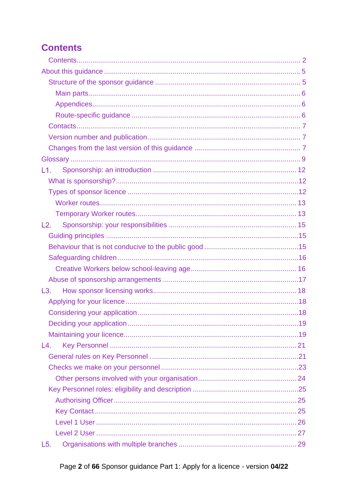<span id="page-1-0"></span>

| L1.             |  |
|-----------------|--|
|                 |  |
|                 |  |
|                 |  |
|                 |  |
| L2.             |  |
|                 |  |
|                 |  |
|                 |  |
|                 |  |
|                 |  |
| $\mathsf{L}3$ . |  |
|                 |  |
|                 |  |
|                 |  |
|                 |  |
| L4.             |  |
|                 |  |
|                 |  |
|                 |  |
|                 |  |
|                 |  |
|                 |  |
|                 |  |
|                 |  |
| L5.             |  |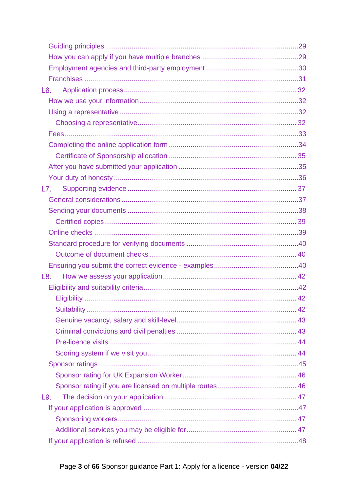| L6. |  |
|-----|--|
|     |  |
|     |  |
|     |  |
|     |  |
|     |  |
|     |  |
|     |  |
|     |  |
| L7. |  |
|     |  |
|     |  |
|     |  |
|     |  |
|     |  |
|     |  |
|     |  |
| L8. |  |
|     |  |
|     |  |
|     |  |
|     |  |
|     |  |
|     |  |
|     |  |
|     |  |
|     |  |
|     |  |
| L9. |  |
|     |  |
|     |  |
|     |  |
|     |  |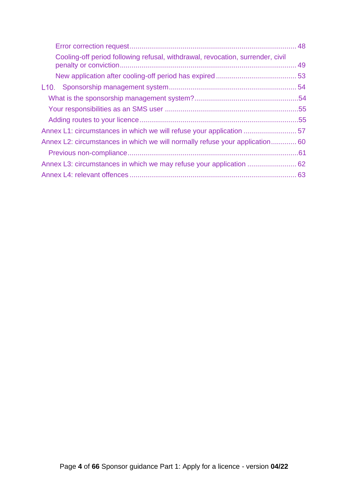| Cooling-off period following refusal, withdrawal, revocation, surrender, civil |  |
|--------------------------------------------------------------------------------|--|
|                                                                                |  |
|                                                                                |  |
|                                                                                |  |
|                                                                                |  |
|                                                                                |  |
|                                                                                |  |
| Annex L2: circumstances in which we will normally refuse your application 60   |  |
|                                                                                |  |
|                                                                                |  |
|                                                                                |  |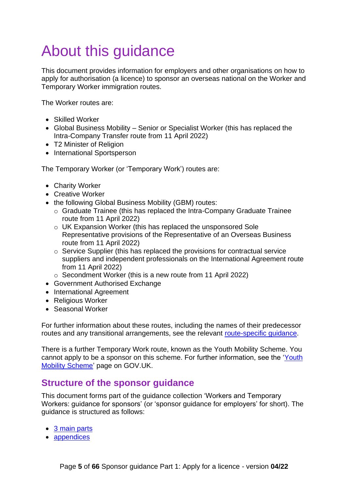# <span id="page-4-0"></span>About this guidance

This document provides information for employers and other organisations on how to apply for authorisation (a licence) to sponsor an overseas national on the Worker and Temporary Worker immigration routes.

The Worker routes are:

- Skilled Worker
- Global Business Mobility Senior or Specialist Worker (this has replaced the Intra-Company Transfer route from 11 April 2022)
- T2 Minister of Religion
- International Sportsperson

The Temporary Worker (or 'Temporary Work') routes are:

- Charity Worker
- Creative Worker
- the following Global Business Mobility (GBM) routes:
	- o Graduate Trainee (this has replaced the Intra-Company Graduate Trainee route from 11 April 2022)
	- o UK Expansion Worker (this has replaced the unsponsored Sole Representative provisions of the Representative of an Overseas Business route from 11 April 2022)
	- o Service Supplier (this has replaced the provisions for contractual service suppliers and independent professionals on the International Agreement route from 11 April 2022)
	- o Secondment Worker (this is a new route from 11 April 2022)
- Government Authorised Exchange
- International Agreement
- Religious Worker
- Seasonal Worker

For further information about these routes, including the names of their predecessor routes and any transitional arrangements, see the relevant [route-specific guidance.](#page-5-2)

There is a further Temporary Work route, known as the Youth Mobility Scheme. You cannot apply to be a sponsor on this scheme. For further information, see the ['Youth](https://www.gov.uk/youth-mobility)  [Mobility Scheme'](https://www.gov.uk/youth-mobility) page on GOV.UK.

### <span id="page-4-1"></span>**Structure of the sponsor guidance**

This document forms part of the guidance collection 'Workers and Temporary Workers: guidance for sponsors' (or 'sponsor guidance for employers' for short). The guidance is structured as follows:

- [3 main parts](#page-5-0)
- [appendices](#page-5-1)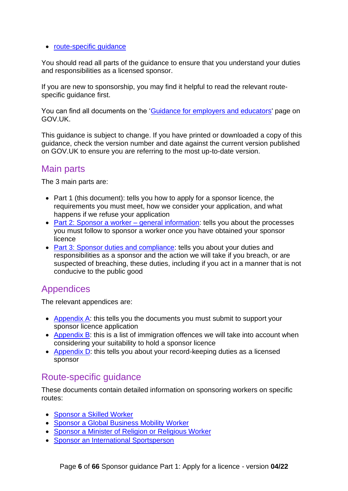#### • [route-specific guidance](#page-5-2)

You should read all parts of the guidance to ensure that you understand your duties and responsibilities as a licensed sponsor.

If you are new to sponsorship, you may find it helpful to read the relevant routespecific guidance first.

You can find all documents on the ['Guidance for employers and educators'](https://www.gov.uk/government/collections/sponsorship-information-for-employers-and-educators) page on GOV.UK.

This guidance is subject to change. If you have printed or downloaded a copy of this guidance, check the version number and date against the current version published on GOV.UK to ensure you are referring to the most up-to-date version.

## <span id="page-5-0"></span>Main parts

The 3 main parts are:

- Part 1 (this document): tells you how to apply for a sponsor licence, the requirements you must meet, how we consider your application, and what happens if we refuse your application
- [Part 2: Sponsor a worker –](https://www.gov.uk/government/publications/workers-and-temporary-workers-guidance-for-sponsors-part-2-sponsor-a-worker) general information: tells you about the processes you must follow to sponsor a worker once you have obtained your sponsor licence
- [Part 3: Sponsor duties and compliance:](https://www.gov.uk/government/publications/workers-and-temporary-workers-guidance-for-sponsors-part-3-sponsor-duties-and-compliance) tells you about your duties and responsibilities as a sponsor and the action we will take if you breach, or are suspected of breaching, these duties, including if you act in a manner that is not conducive to the public good

## <span id="page-5-1"></span>**Appendices**

The relevant appendices are:

- [Appendix A:](https://www.gov.uk/government/publications/supporting-documents-for-sponsor-applications-appendix-a) this tells you the documents you must submit to support your sponsor licence application
- [Appendix B:](https://www.gov.uk/government/publications/immigration-offences-and-sponsorship-appendix-b) this is a list of immigration offences we will take into account when considering your suitability to hold a sponsor licence
- [Appendix D:](https://www.gov.uk/government/publications/keep-records-for-sponsorship-appendix-d) this tells you about your record-keeping duties as a licensed sponsor

## <span id="page-5-2"></span>Route-specific guidance

These documents contain detailed information on sponsoring workers on specific routes:

- [Sponsor a Skilled Worker](https://www.gov.uk/government/publications/workers-and-temporary-workers-sponsor-a-skilled-worker)
- [Sponsor a Global Business Mobility Worker](https://www.gov.uk/government/publications/workers-and-temporary-workers-sponsor-an-intra-company-worker)
- [Sponsor a Minister of Religion or Religious Worker](https://www.gov.uk/government/publications/workers-and-temporary-workers-guidance-for-sponsors-sponsor-a-minister-of-religion-or-religious-worker)
- [Sponsor an International Sportsperson](https://www.gov.uk/government/publications/workers-and-temporary-workers-guidance-for-sponsors-sponsor-a-sportsperson-or-sporting-worker)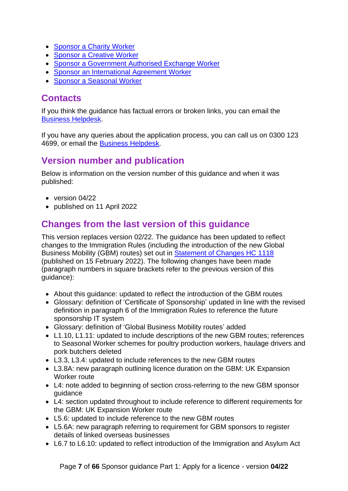- [Sponsor a Charity Worker](https://www.gov.uk/government/publications/workers-and-temporary-workers-guidance-for-sponsors-sponsor-a-charity-worker)
- [Sponsor a Creative Worker](https://www.gov.uk/government/publications/worker-and-temporary-workers-guidance-for-sponsors-sponsor-a-creative-worker)
- Sponsor a Government [Authorised Exchange Worker](https://www.gov.uk/government/publications/workers-and-temporary-workers-guidance-for-sponsors-sponsor-a-government-authorised-exchange-worker)
- Sponsor an [International Agreement Worker](https://www.gov.uk/government/publications/workers-and-temporary-workers-guidance-for-sponsors-sponsor-an-international-agreement-worker)
- [Sponsor a Seasonal Worker](https://www.gov.uk/government/publications/workers-and-temporary-workers-guidance-for-sponsors-sponsor-a-seasonal-worker)

## <span id="page-6-0"></span>**Contacts**

If you think the guidance has factual errors or broken links, you can email the [Business Helpdesk.](mailto:BusinessHelpdesk@homeoffice.gov.uk)

If you have any queries about the application process, you can call us on 0300 123 4699, or email the [Business Helpdesk.](mailto:BusinessHelpdesk@homeoffice.gov.uk)

## <span id="page-6-1"></span>**Version number and publication**

Below is information on the version number of this guidance and when it was published:

- version 04/22
- published on 11 April 2022

# <span id="page-6-2"></span>**Changes from the last version of this guidance**

This version replaces version 02/22. The guidance has been updated to reflect changes to the Immigration Rules (including the introduction of the new Global Business Mobility (GBM) routes) set out in [Statement of Changes HC 1118](https://www.gov.uk/government/collections/immigration-rules-statement-of-changes#statement-of-changes-to-the-immigration-rules:-2022) (published on 15 February 2022). The following changes have been made (paragraph numbers in square brackets refer to the previous version of this guidance):

- About this guidance: updated to reflect the introduction of the GBM routes
- Glossary: definition of 'Certificate of Sponsorship' updated in line with the revised definition in paragraph 6 of the Immigration Rules to reference the future sponsorship IT system
- Glossary: definition of 'Global Business Mobility routes' added
- L1.10, L1.11: updated to include descriptions of the new GBM routes: references to Seasonal Worker schemes for poultry production workers, haulage drivers and pork butchers deleted
- L3.3, L3.4: updated to include references to the new GBM routes
- L3.8A: new paragraph outlining licence duration on the GBM: UK Expansion Worker route
- L4: note added to beginning of section cross-referring to the new GBM sponsor guidance
- L4: section updated throughout to include reference to different requirements for the GBM: UK Expansion Worker route
- L5.6: updated to include reference to the new GBM routes
- L5.6A: new paragraph referring to requirement for GBM sponsors to register details of linked overseas businesses
- L6.7 to L6.10: updated to reflect introduction of the Immigration and Asylum Act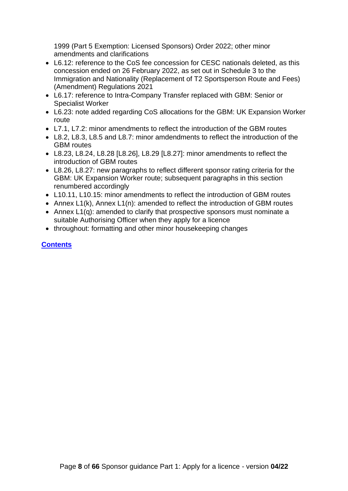1999 (Part 5 Exemption: Licensed Sponsors) Order 2022; other minor amendments and clarifications

- L6.12: reference to the CoS fee concession for CESC nationals deleted, as this concession ended on 26 February 2022, as set out in Schedule 3 to the Immigration and Nationality (Replacement of T2 Sportsperson Route and Fees) (Amendment) Regulations 2021
- L6.17: reference to Intra-Company Transfer replaced with GBM: Senior or Specialist Worker
- L6.23: note added regarding CoS allocations for the GBM: UK Expansion Worker route
- L7.1, L7.2: minor amendments to reflect the introduction of the GBM routes
- L8.2, L8.3, L8.5 and L8.7: minor amdendments to reflect the introduction of the GBM routes
- L8.23, L8.24, L8.28 [L8.26], L8.29 [L8.27]: minor amendments to reflect the introduction of GBM routes
- L8.26, L8.27: new paragraphs to reflect different sponsor rating criteria for the GBM: UK Expansion Worker route; subsequent paragraphs in this section renumbered accordingly
- L10.11, L10.15: minor amendments to reflect the introduction of GBM routes
- Annex L1(k), Annex L1(n): amended to reflect the introduction of GBM routes
- Annex L1(q): amended to clarify that prospective sponsors must nominate a suitable Authorising Officer when they apply for a licence
- throughout: formatting and other minor housekeeping changes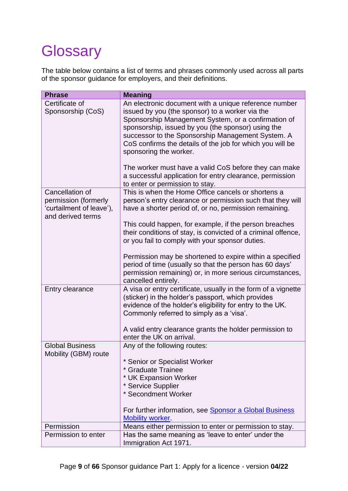# <span id="page-8-0"></span>**Glossary**

The table below contains a list of terms and phrases commonly used across all parts of the sponsor guidance for employers, and their definitions.

<span id="page-8-1"></span>

| <b>Phrase</b>                                                                            | <b>Meaning</b>                                                                                                                                                                                                                                                                                                                                                                                                                                                                                                            |
|------------------------------------------------------------------------------------------|---------------------------------------------------------------------------------------------------------------------------------------------------------------------------------------------------------------------------------------------------------------------------------------------------------------------------------------------------------------------------------------------------------------------------------------------------------------------------------------------------------------------------|
| Certificate of<br>Sponsorship (CoS)                                                      | An electronic document with a unique reference number<br>issued by you (the sponsor) to a worker via the<br>Sponsorship Management System, or a confirmation of<br>sponsorship, issued by you (the sponsor) using the<br>successor to the Sponsorship Management System. A<br>CoS confirms the details of the job for which you will be<br>sponsoring the worker.<br>The worker must have a valid CoS before they can make<br>a successful application for entry clearance, permission<br>to enter or permission to stay. |
| Cancellation of<br>permission (formerly<br>'curtailment of leave'),<br>and derived terms | This is when the Home Office cancels or shortens a<br>person's entry clearance or permission such that they will<br>have a shorter period of, or no, permission remaining.<br>This could happen, for example, if the person breaches<br>their conditions of stay, is convicted of a criminal offence,<br>or you fail to comply with your sponsor duties.                                                                                                                                                                  |
|                                                                                          | Permission may be shortened to expire within a specified<br>period of time (usually so that the person has 60 days'<br>permission remaining) or, in more serious circumstances,<br>cancelled entirely.                                                                                                                                                                                                                                                                                                                    |
| Entry clearance                                                                          | A visa or entry certificate, usually in the form of a vignette<br>(sticker) in the holder's passport, which provides<br>evidence of the holder's eligibility for entry to the UK.<br>Commonly referred to simply as a 'visa'.<br>A valid entry clearance grants the holder permission to<br>enter the UK on arrival.                                                                                                                                                                                                      |
| <b>Global Business</b><br>Mobility (GBM) route                                           | Any of the following routes:<br>* Senior or Specialist Worker<br>* Graduate Trainee<br>* UK Expansion Worker<br>* Service Supplier<br>* Secondment Worker<br>For further information, see Sponsor a Global Business<br><b>Mobility worker</b> .                                                                                                                                                                                                                                                                           |
| Permission                                                                               | Means either permission to enter or permission to stay.                                                                                                                                                                                                                                                                                                                                                                                                                                                                   |
| Permission to enter                                                                      | Has the same meaning as 'leave to enter' under the<br>Immigration Act 1971.                                                                                                                                                                                                                                                                                                                                                                                                                                               |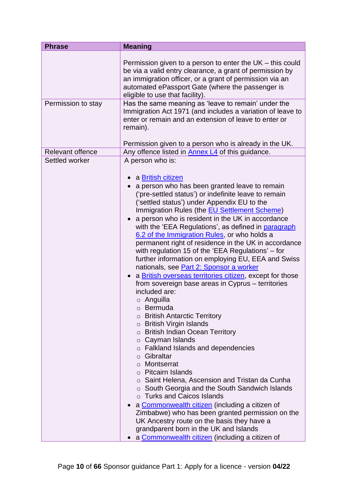<span id="page-9-0"></span>

| <b>Phrase</b>           | <b>Meaning</b>                                                                                                                                                                                                                                                                                                                                                                                                                                                                                                                                                                                                                                                                                                                                                                                                                                                                                                                                                                                                                                                                                                                                                                                                                                                                                                                                                                                                              |
|-------------------------|-----------------------------------------------------------------------------------------------------------------------------------------------------------------------------------------------------------------------------------------------------------------------------------------------------------------------------------------------------------------------------------------------------------------------------------------------------------------------------------------------------------------------------------------------------------------------------------------------------------------------------------------------------------------------------------------------------------------------------------------------------------------------------------------------------------------------------------------------------------------------------------------------------------------------------------------------------------------------------------------------------------------------------------------------------------------------------------------------------------------------------------------------------------------------------------------------------------------------------------------------------------------------------------------------------------------------------------------------------------------------------------------------------------------------------|
|                         | Permission given to a person to enter the $UK -$ this could<br>be via a valid entry clearance, a grant of permission by<br>an immigration officer, or a grant of permission via an<br>automated ePassport Gate (where the passenger is<br>eligible to use that facility).                                                                                                                                                                                                                                                                                                                                                                                                                                                                                                                                                                                                                                                                                                                                                                                                                                                                                                                                                                                                                                                                                                                                                   |
| Permission to stay      | Has the same meaning as 'leave to remain' under the<br>Immigration Act 1971 (and includes a variation of leave to<br>enter or remain and an extension of leave to enter or<br>remain).<br>Permission given to a person who is already in the UK.                                                                                                                                                                                                                                                                                                                                                                                                                                                                                                                                                                                                                                                                                                                                                                                                                                                                                                                                                                                                                                                                                                                                                                            |
| <b>Relevant offence</b> | Any offence listed in <b>Annex L4</b> of this guidance.                                                                                                                                                                                                                                                                                                                                                                                                                                                                                                                                                                                                                                                                                                                                                                                                                                                                                                                                                                                                                                                                                                                                                                                                                                                                                                                                                                     |
| Settled worker          | A person who is:<br>a British citizen<br>a person who has been granted leave to remain<br>('pre-settled status') or indefinite leave to remain<br>('settled status') under Appendix EU to the<br>Immigration Rules (the <b>EU Settlement Scheme)</b><br>a person who is resident in the UK in accordance<br>with the 'EEA Regulations', as defined in paragraph<br>6.2 of the Immigration Rules, or who holds a<br>permanent right of residence in the UK in accordance<br>with regulation 15 of the 'EEA Regulations' – for<br>further information on employing EU, EEA and Swiss<br>nationals, see Part 2: Sponsor a worker<br>a British overseas territories citizen, except for those<br>from sovereign base areas in Cyprus – territories<br>included are:<br>o Anguilla<br>○ Bermuda<br>$\circ$ British Antarctic Territory<br>$\circ$ British Virgin Islands<br>o British Indian Ocean Territory<br>$\circ$ Cayman Islands<br>o Falkland Islands and dependencies<br>o Gibraltar<br>o Montserrat<br>○ Pitcairn Islands<br>$\circ$ Saint Helena, Ascension and Tristan da Cunha<br>$\circ$ South Georgia and the South Sandwich Islands<br>○ Turks and Caicos Islands<br>a Commonwealth citizen (including a citizen of<br>Zimbabwe) who has been granted permission on the<br>UK Ancestry route on the basis they have a<br>grandparent born in the UK and Islands<br>a Commonwealth citizen (including a citizen of |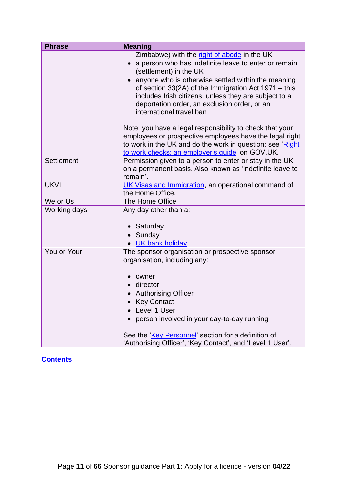<span id="page-10-1"></span><span id="page-10-0"></span>

| <b>Phrase</b> | <b>Meaning</b>                                                                                                                                                                                                                                                                                                                                       |
|---------------|------------------------------------------------------------------------------------------------------------------------------------------------------------------------------------------------------------------------------------------------------------------------------------------------------------------------------------------------------|
|               | Zimbabwe) with the right of abode in the UK<br>a person who has indefinite leave to enter or remain<br>(settlement) in the UK                                                                                                                                                                                                                        |
|               | anyone who is otherwise settled within the meaning<br>of section $33(2A)$ of the Immigration Act 1971 – this<br>includes Irish citizens, unless they are subject to a<br>deportation order, an exclusion order, or an<br>international travel ban                                                                                                    |
|               | Note: you have a legal responsibility to check that your<br>employees or prospective employees have the legal right<br>to work in the UK and do the work in question: see 'Right<br>to work checks: an employer's guide' on GOV.UK.                                                                                                                  |
| Settlement    | Permission given to a person to enter or stay in the UK<br>on a permanent basis. Also known as 'indefinite leave to<br>remain'.                                                                                                                                                                                                                      |
| <b>UKVI</b>   | UK Visas and Immigration, an operational command of<br>the Home Office.                                                                                                                                                                                                                                                                              |
| We or Us      | The Home Office                                                                                                                                                                                                                                                                                                                                      |
| Working days  | Any day other than a:<br>Saturday<br>Sunday<br>• UK bank holiday                                                                                                                                                                                                                                                                                     |
| You or Your   | The sponsor organisation or prospective sponsor<br>organisation, including any:<br>owner<br>director<br>$\bullet$<br><b>Authorising Officer</b><br>• Key Contact<br>• Level 1 User<br>person involved in your day-to-day running<br>See the 'Key Personnel' section for a definition of<br>'Authorising Officer', 'Key Contact', and 'Level 1 User'. |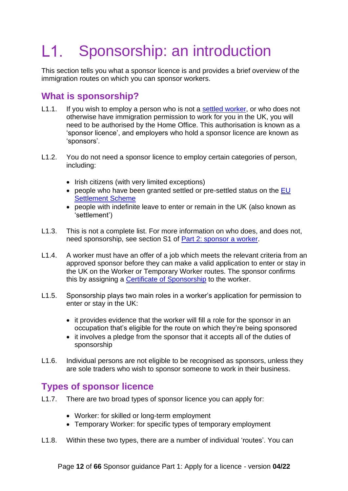#### <span id="page-11-0"></span>L1. Sponsorship: an introduction

This section tells you what a sponsor licence is and provides a brief overview of the immigration routes on which you can sponsor workers.

## <span id="page-11-1"></span>**What is sponsorship?**

- L1.1. If you wish to employ a person who is not a [settled worker,](#page-8-0) or who does not otherwise have immigration permission to work for you in the UK, you will need to be authorised by the Home Office. This authorisation is known as a 'sponsor licence', and employers who hold a sponsor licence are known as 'sponsors'.
- L1.2. You do not need a sponsor licence to employ certain categories of person, including:
	- Irish citizens (with very limited exceptions)
	- people who have been granted settled or pre-settled status on the EU [Settlement Scheme](https://www.gov.uk/settled-status-eu-citizens-families)
	- people with indefinite leave to enter or remain in the UK (also known as 'settlement')
- L1.3. This is not a complete list. For more information on who does, and does not, need sponsorship, see section S1 of [Part 2: sponsor a worker.](https://www.gov.uk/government/publications/workers-and-temporary-workers-guidance-for-sponsors-part-2-sponsor-a-worker/workers-and-temporary-workers-guidance-for-sponsors-part-2-sponsor-a-worker-general-information-accessible-version)
- L1.4. A worker must have an offer of a job which meets the relevant criteria from an approved sponsor before they can make a valid application to enter or stay in the UK on the Worker or Temporary Worker routes. The sponsor confirms this by assigning a [Certificate of Sponsorship](#page-8-1) to the worker.
- L1.5. Sponsorship plays two main roles in a worker's application for permission to enter or stay in the UK:
	- it provides evidence that the worker will fill a role for the sponsor in an occupation that's eligible for the route on which they're being sponsored
	- it involves a pledge from the sponsor that it accepts all of the duties of sponsorship
- L1.6. Individual persons are not eligible to be recognised as sponsors, unless they are sole traders who wish to sponsor someone to work in their business.

## <span id="page-11-2"></span>**Types of sponsor licence**

- L1.7. There are two broad types of sponsor licence you can apply for:
	- Worker: for skilled or long-term employment
	- Temporary Worker: for specific types of temporary employment
- L1.8. Within these two types, there are a number of individual 'routes'. You can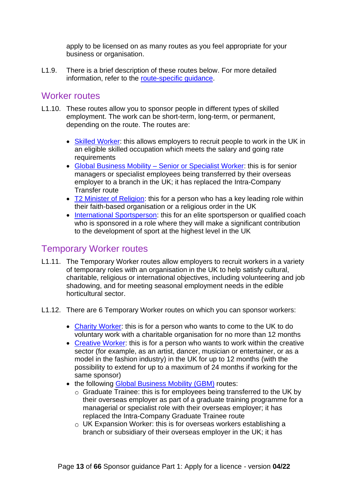apply to be licensed on as many routes as you feel appropriate for your business or organisation.

L1.9. There is a brief description of these routes below. For more detailed information, refer to the [route-specific guidance.](#page-5-2)

#### <span id="page-12-0"></span>Worker routes

- L1.10. These routes allow you to sponsor people in different types of skilled employment. The work can be short-term, long-term, or permanent, depending on the route. The routes are:
	- [Skilled Worker:](https://www.gov.uk/government/publications/workers-and-temporary-workers-sponsor-a-skilled-worker) this allows employers to recruit people to work in the UK in an eligible skilled occupation which meets the salary and going rate **requirements**
	- Global Business Mobility [Senior or Specialist Worker:](https://www.gov.uk/government/publications/workers-and-temporary-workers-sponsor-an-intra-company-worker) this is for senior managers or specialist employees being transferred by their overseas employer to a branch in the UK; it has replaced the Intra-Company Transfer route
	- [T2 Minister of Religion:](https://www.gov.uk/government/publications/workers-and-temporary-workers-guidance-for-sponsors-sponsor-a-minister-of-religion-or-religious-worker) this for a person who has a key leading role within their faith-based organisation or a religious order in the UK
	- [International Sportsperson:](https://www.gov.uk/government/publications/workers-and-temporary-workers-guidance-for-sponsors-sponsor-a-sportsperson-or-sporting-worker) this for an elite sportsperson or qualified coach who is sponsored in a role where they will make a significant contribution to the development of sport at the highest level in the UK

### <span id="page-12-1"></span>Temporary Worker routes

- L1.11. The Temporary Worker routes allow employers to recruit workers in a variety of temporary roles with an organisation in the UK to help satisfy cultural, charitable, religious or international objectives, including volunteering and job shadowing, and for meeting seasonal employment needs in the edible horticultural sector.
- L1.12. There are 6 Temporary Worker routes on which you can sponsor workers:
	- [Charity Worker:](https://www.gov.uk/government/publications/workers-and-temporary-workers-guidance-for-sponsors-sponsor-a-charity-worker) this is for a person who wants to come to the UK to do voluntary work with a charitable organisation for no more than 12 months
	- [Creative Worker:](https://www.gov.uk/government/publications/worker-and-temporary-workers-guidance-for-sponsors-sponsor-a-creative-worker) this is for a person who wants to work within the creative sector (for example, as an artist, dancer, musician or entertainer, or as a model in the fashion industry) in the UK for up to 12 months (with the possibility to extend for up to a maximum of 24 months if working for the same sponsor)
	- the following [Global Business Mobility](https://www.gov.uk/government/publications/workers-and-temporary-workers-sponsor-an-intra-company-worker) (GBM) routes:
		- $\circ$  Graduate Trainee: this is for employees being transferred to the UK by their overseas employer as part of a graduate training programme for a managerial or specialist role with their overseas employer; it has replaced the Intra-Company Graduate Trainee route
		- UK Expansion Worker: this is for overseas workers establishing a branch or subsidiary of their overseas employer in the UK; it has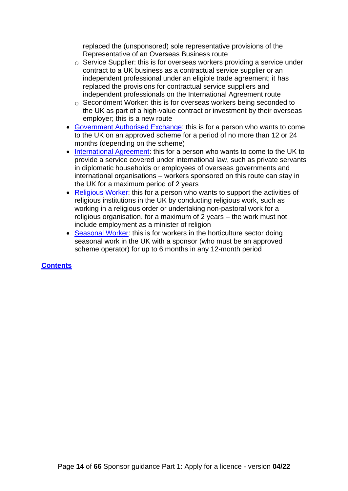replaced the (unsponsored) sole representative provisions of the Representative of an Overseas Business route

- $\circ$  Service Supplier: this is for overseas workers providing a service under contract to a UK business as a contractual service supplier or an independent professional under an eligible trade agreement; it has replaced the provisions for contractual service suppliers and independent professionals on the International Agreement route
- $\circ$  Secondment Worker: this is for overseas workers being seconded to the UK as part of a high-value contract or investment by their overseas employer; this is a new route
- Government [Authorised Exchange:](https://www.gov.uk/government/publications/workers-and-temporary-workers-guidance-for-sponsors-sponsor-a-government-authorised-exchange-worker) this is for a person who wants to come to the UK on an approved scheme for a period of no more than 12 or 24 months (depending on the scheme)
- [International Agreement:](https://www.gov.uk/government/publications/workers-and-temporary-workers-guidance-for-sponsors-sponsor-an-international-agreement-worker) this for a person who wants to come to the UK to provide a service covered under international law, such as private servants in diplomatic households or employees of overseas governments and international organisations – workers sponsored on this route can stay in the UK for a maximum period of 2 years
- [Religious Worker:](https://www.gov.uk/government/publications/workers-and-temporary-workers-guidance-for-sponsors-sponsor-a-minister-of-religion-or-religious-worker) this for a person who wants to support the activities of religious institutions in the UK by conducting religious work, such as working in a religious order or undertaking non-pastoral work for a religious organisation, for a maximum of 2 years – the work must not include employment as a minister of religion
- [Seasonal Worker:](https://www.gov.uk/government/publications/workers-and-temporary-workers-guidance-for-sponsors-sponsor-a-seasonal-worker) this is for workers in the horticulture sector doing seasonal work in the UK with a sponsor (who must be an approved scheme operator) for up to 6 months in any 12-month period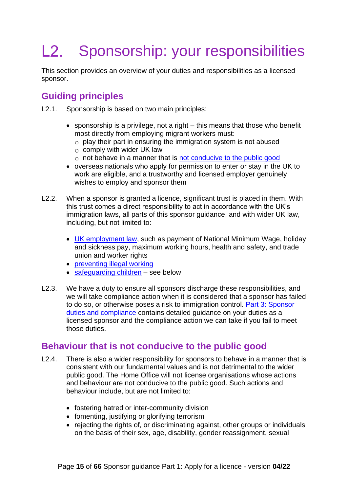#### <span id="page-14-0"></span> $L2.$ Sponsorship: your responsibilities

This section provides an overview of your duties and responsibilities as a licensed sponsor.

## <span id="page-14-1"></span>**Guiding principles**

- L2.1. Sponsorship is based on two main principles:
	- sponsorship is a privilege, not a right this means that those who benefit most directly from employing migrant workers must:
		- $\circ$  play their part in ensuring the immigration system is not abused
		- $\circ$  comply with wider UK law
		- $\circ$  not behave in a manner that is [not conducive to the public good](#page-14-2)
	- overseas nationals who apply for permission to enter or stay in the UK to work are eligible, and a trustworthy and licensed employer genuinely wishes to employ and sponsor them
- L2.2. When a sponsor is granted a licence, significant trust is placed in them. With this trust comes a direct responsibility to act in accordance with the UK's immigration laws, all parts of this sponsor guidance, and with wider UK law, including, but not limited to:
	- [UK employment law,](https://www.gov.uk/browse/employing-people) such as payment of National Minimum Wage, holiday and sickness pay, maximum working hours, health and safety, and trade union and worker rights
	- [preventing illegal working](https://www.gov.uk/government/publications/right-to-work-checks-employers-guide)
	- [safeguarding children](#page-15-0) see below
- L2.3. We have a duty to ensure all sponsors discharge these responsibilities, and we will take compliance action when it is considered that a sponsor has failed to do so, or otherwise poses a risk to immigration control. [Part 3: Sponsor](https://www.gov.uk/government/publications/workers-and-temporary-workers-guidance-for-sponsors-part-3-sponsor-duties-and-compliance)  [duties and compliance](https://www.gov.uk/government/publications/workers-and-temporary-workers-guidance-for-sponsors-part-3-sponsor-duties-and-compliance) contains detailed guidance on your duties as a licensed sponsor and the compliance action we can take if you fail to meet those duties.

#### <span id="page-14-2"></span>**Behaviour that is not conducive to the public good**

- L2.4. There is also a wider responsibility for sponsors to behave in a manner that is consistent with our fundamental values and is not detrimental to the wider public good. The Home Office will not license organisations whose actions and behaviour are not conducive to the public good. Such actions and behaviour include, but are not limited to:
	- fostering hatred or inter-community division
	- fomenting, justifying or glorifying terrorism
	- rejecting the rights of, or discriminating against, other groups or individuals on the basis of their sex, age, disability, gender reassignment, sexual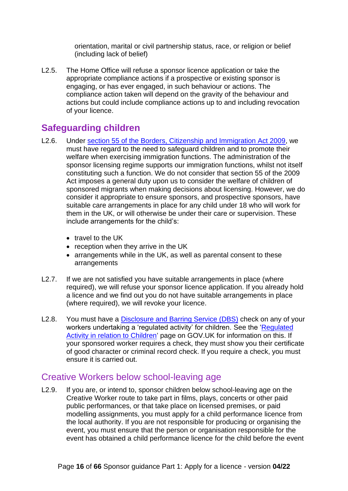orientation, marital or civil partnership status, race, or religion or belief (including lack of belief)

L2.5. The Home Office will refuse a sponsor licence application or take the appropriate compliance actions if a prospective or existing sponsor is engaging, or has ever engaged, in such behaviour or actions. The compliance action taken will depend on the gravity of the behaviour and actions but could include compliance actions up to and including revocation of your licence.

## <span id="page-15-0"></span>**Safeguarding children**

- L2.6. Under [section 55 of the Borders, Citizenship](http://www.legislation.gov.uk/ukpga/2009/11/section/55) and Immigration Act 2009, we must have regard to the need to safeguard children and to promote their welfare when exercising immigration functions. The administration of the sponsor licensing regime supports our immigration functions, whilst not itself constituting such a function. We do not consider that section 55 of the 2009 Act imposes a general duty upon us to consider the welfare of children of sponsored migrants when making decisions about licensing. However, we do consider it appropriate to ensure sponsors, and prospective sponsors, have suitable care arrangements in place for any child under 18 who will work for them in the UK, or will otherwise be under their care or supervision. These include arrangements for the child's:
	- travel to the UK
	- reception when they arrive in the UK
	- arrangements while in the UK, as well as parental consent to these arrangements
- L2.7. If we are not satisfied you have suitable arrangements in place (where required), we will refuse your sponsor licence application. If you already hold a licence and we find out you do not have suitable arrangements in place (where required), we will revoke your licence.
- L2.8. You must have a [Disclosure and Barring Service \(DBS\)](https://www.gov.uk/government/collections/dbs-referrals-guidance--2) check on any of your workers undertaking a 'regulated activity' for children. See the ['Regulated](https://www.gov.uk/government/publications/keeping-children-safe-in-education--2)  [Activity in relation to Children](https://www.gov.uk/government/publications/keeping-children-safe-in-education--2)' page on GOV.UK for information on this. If your sponsored worker requires a check, they must show you their certificate of good character or criminal record check. If you require a check, you must ensure it is carried out.

### <span id="page-15-1"></span>Creative Workers below school-leaving age

L2.9. If you are, or intend to, sponsor children below school-leaving age on the Creative Worker route to take part in films, plays, concerts or other paid public performances, or that take place on licensed premises, or paid modelling assignments, you must apply for a child performance licence from the local authority. If you are not responsible for producing or organising the event, you must ensure that the person or organisation responsible for the event has obtained a child performance licence for the child before the event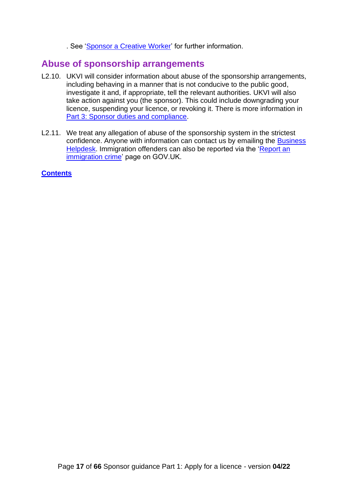. See ['Sponsor a Creative Worker'](https://www.gov.uk/government/publications/worker-and-temporary-workers-guidance-for-sponsors-sponsor-a-creative-worker) for further information.

## <span id="page-16-0"></span>**Abuse of sponsorship arrangements**

- L2.10. UKVI will consider information about abuse of the sponsorship arrangements, including behaving in a manner that is not conducive to the public good, investigate it and, if appropriate, tell the relevant authorities. UKVI will also take action against you (the sponsor). This could include downgrading your licence, suspending your licence, or revoking it. There is more information in Part 3: [Sponsor duties and compliance.](https://www.gov.uk/government/publications/workers-and-temporary-workers-guidance-for-sponsors-part-3-sponsor-duties-and-compliance)
- L2.11. We treat any allegation of abuse of the sponsorship system in the strictest confidence. Anyone with information can contact us by emailing the Business [Helpdesk.](mailto:BusinessHelpdesk@homeoffice.gov.uk) Immigration offenders can also be reported via the 'Report an [immigration crime'](https://www.gov.uk/report-immigration-crime) page on GOV.UK.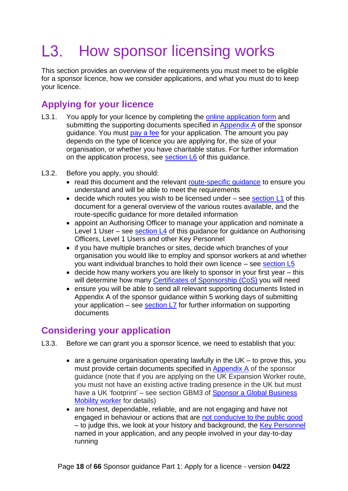#### <span id="page-17-0"></span>L3. How sponsor licensing works

This section provides an overview of the requirements you must meet to be eligible for a sponsor licence, how we consider applications, and what you must do to keep your licence.

# <span id="page-17-1"></span>**Applying for your licence**

- L3.1. You apply for your licence by completing the [online application form](https://www.gov.uk/apply-sponsor-licence) and submitting the supporting documents specified in [Appendix A](https://www.gov.uk/government/publications/supporting-documents-for-sponsor-applications-appendix-a) of the sponsor guidance. You must [pay a fee](https://www.gov.uk/government/publications/visa-regulations-revised-table) for your application. The amount you pay depends on the type of licence you are applying for, the size of your organisation, or whether you have charitable status. For further information on the application process, see [section L6](#page-31-0) of this guidance.
- L3.2. Before you apply, you should:
	- read this document and the relevant route-specific quidance to ensure you understand and will be able to meet the requirements
	- decide which routes you wish to be licensed under see [section L1](#page-10-0) of this document for a general overview of the various routes available, and the route-specific guidance for more detailed information
	- appoint an Authorising Officer to manage your application and nominate a Level 1 User – see [section L4](#page-20-0) of this guidance for guidance on Authorising Officers, Level 1 Users and other Key Personnel
	- if you have multiple branches or sites, decide which branches of your organisation you would like to employ and sponsor workers at and whether you want individual branches to hold their own licence – see [section L5](#page-28-0)
	- decide how many workers you are likely to sponsor in your first year this will determine how many [Certificates of Sponsorship \(CoS\)](#page-34-0) you will need
	- ensure you will be able to send all relevant supporting documents listed in Appendix A of the sponsor guidance within 5 working days of submitting your application – see section  $L$ 7 for further information on supporting documents

## <span id="page-17-2"></span>**Considering your application**

- L3.3. Before we can grant you a sponsor licence, we need to establish that you:
	- are a genuine organisation operating lawfully in the UK to prove this, you must provide certain documents specified in [Appendix A](https://www.gov.uk/government/publications/supporting-documents-for-sponsor-applications-appendix-a) of the sponsor guidance (note that if you are applying on the UK Expansion Worker route, you must not have an existing active trading presence in the UK but must have a UK 'footprint' – see section GBM3 of Sponsor a Global Business [Mobility worker](https://www.gov.uk/government/publications/workers-and-temporary-workers-sponsor-an-intra-company-worker) for details)
	- are honest, dependable, reliable, and are not engaging and have not engaged in behaviour or actions that are [not conducive to](#page-14-2) the public good – to judge this, we look at your history and background, the [Key Personnel](#page-19-0) named in your application, and any people involved in your day-to-day running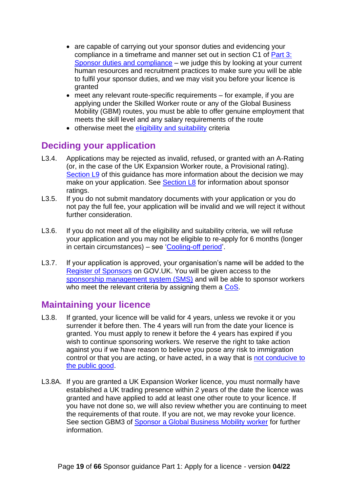- are capable of carrying out your sponsor duties and evidencing your compliance in a timeframe and manner set out in section C1 of [Part 3:](https://www.gov.uk/government/publications/workers-and-temporary-workers-guidance-for-sponsors-part-3-sponsor-duties-and-compliance)  [Sponsor duties and compliance](https://www.gov.uk/government/publications/workers-and-temporary-workers-guidance-for-sponsors-part-3-sponsor-duties-and-compliance) – we judge this by looking at your current human resources and recruitment practices to make sure you will be able to fulfil your sponsor duties, and we may visit you before your licence is granted
- meet any relevant route-specific requirements for example, if you are applying under the Skilled Worker route or any of the Global Business Mobility (GBM) routes, you must be able to offer genuine employment that meets the skill level and any salary requirements of the route
- otherwise meet the [eligibility and suitability](#page-41-1) criteria

## <span id="page-18-0"></span>**Deciding your application**

- L3.4. Applications may be rejected as invalid, refused, or granted with an A-Rating (or, in the case of the UK Expansion Worker route, a Provisional rating). [Section L9](#page-46-0) of this guidance has more information about the decision we may make on your application. See [Section L8](#page-44-0) for information about sponsor ratings.
- L3.5. If you do not submit mandatory documents with your application or you do not pay the full fee, your application will be invalid and we will reject it without further consideration.
- L3.6. If you do not meet all of the eligibility and suitability criteria, we will refuse your application and you may not be eligible to re-apply for 6 months (longer in certain circumstances) – see ['Cooling-off period'](#page-48-0).
- L3.7. If your application is approved, your organisation's name will be added to the [Register of Sponsors](https://www.gov.uk/government/publications/register-of-licensed-sponsors-workers) on GOV.UK. You will be given access to the [sponsorship management system \(SMS\)](#page-52-1) and will be able to sponsor workers who meet the relevant criteria by assigning them a [CoS.](#page-34-0)

## <span id="page-18-1"></span>**Maintaining your licence**

- L3.8. If granted, your licence will be valid for 4 years, unless we revoke it or you surrender it before then. The 4 years will run from the date your licence is granted. You must apply to renew it before the 4 years has expired if you wish to continue sponsoring workers. We reserve the right to take action against you if we have reason to believe you pose any risk to immigration control or that you are acting, or have acted, in a way that is not [conducive to](#page-14-2)  [the public good.](#page-14-2)
- L3.8A. If you are granted a UK Expansion Worker licence, you must normally have established a UK trading presence within 2 years of the date the licence was granted and have applied to add at least one other route to your licence. If you have not done so, we will also review whether you are continuing to meet the requirements of that route. If you are not, we may revoke your licence. See section GBM3 of [Sponsor a Global Business Mobility worker](https://www.gov.uk/government/publications/workers-and-temporary-workers-sponsor-an-intra-company-worker) for further information.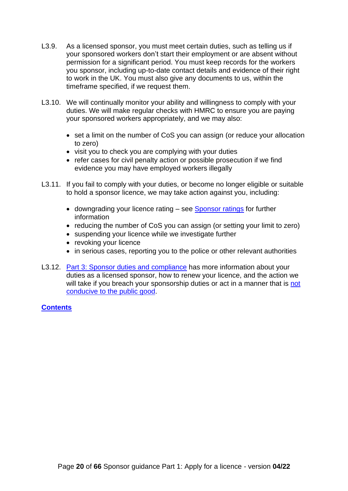- L3.9. As a licensed sponsor, you must meet certain duties, such as telling us if your sponsored workers don't start their employment or are absent without permission for a significant period. You must keep records for the workers you sponsor, including up-to-date contact details and evidence of their right to work in the UK. You must also give any documents to us, within the timeframe specified, if we request them.
- L3.10. We will continually monitor your ability and willingness to comply with your duties. We will make regular checks with HMRC to ensure you are paying your sponsored workers appropriately, and we may also:
	- set a limit on the number of CoS you can assign (or reduce your allocation to zero)
	- visit you to check you are complying with your duties
	- refer cases for civil penalty action or possible prosecution if we find evidence you may have employed workers illegally
- L3.11. If you fail to comply with your duties, or become no longer eligible or suitable to hold a sponsor licence, we may take action against you, including:
	- downgrading your licence rating see [Sponsor ratings](#page-44-0) for further information
	- reducing the number of CoS you can assign (or setting your limit to zero)
	- suspending your licence while we investigate further
	- revoking your licence
	- in serious cases, reporting you to the police or other relevant authorities
- <span id="page-19-0"></span>L3.12. [Part 3: Sponsor duties and compliance](https://www.gov.uk/government/publications/workers-and-temporary-workers-guidance-for-sponsors-part-3-sponsor-duties-and-compliance) has more information about your duties as a licensed sponsor, how to renew your licence, and the action we will take if you breach your sponsorship duties or act in a manner that is not [conducive to the public good.](#page-14-2)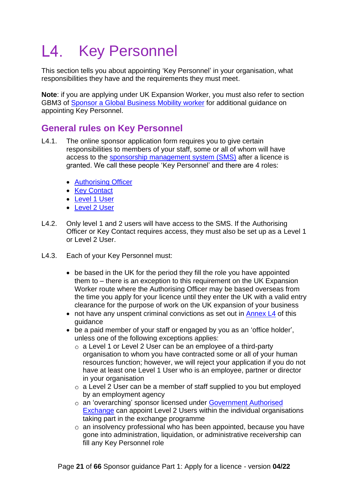#### <span id="page-20-0"></span> $\mathsf{L4}$ . Key Personnel

This section tells you about appointing 'Key Personnel' in your organisation, what responsibilities they have and the requirements they must meet.

**Note**: if you are applying under UK Expansion Worker, you must also refer to section GBM3 of [Sponsor a Global Business Mobility worker](https://ukhomeoffice.sharepoint.com/sites/POL903/Sponsorship%20Policy%20Team/Sponsor%20Guidance/FBIS%20Sponsor%20guidance/2022-04-FBIS%20sponsor%20guidance%20-%20April%202022%20updates/A.%20Part%201%20-%20Apply%20for%20a%20licence%20-%2004-22/this%20is%20for%20overseas%20workers%20being%20seconded%20to%20the%20UK%20as%20part%20of%20a%20high-value%20contract%20or%20investment%20by%20their%20overseas%20employer;%20this%20is%20a%20new%20route) for additional guidance on appointing Key Personnel.

## <span id="page-20-1"></span>**General rules on Key Personnel**

- L4.1. The online sponsor application form requires you to give certain responsibilities to members of your staff, some or all of whom will have access to the [sponsorship management system \(SMS\)](#page-52-1) after a licence is granted. We call these people 'Key Personnel' and there are 4 roles:
	- [Authorising Officer](#page-24-1)
	- [Key Contact](#page-24-2)
	- [Level 1 User](#page-25-0)
	- [Level 2 User](#page-26-0)
- L4.2. Only level 1 and 2 users will have access to the SMS. If the Authorising Officer or Key Contact requires access, they must also be set up as a Level 1 or Level 2 User.
- L4.3. Each of your Key Personnel must:
	- be based in the UK for the period they fill the role you have appointed them to – there is an exception to this requirement on the UK Expansion Worker route where the Authorising Officer may be based overseas from the time you apply for your licence until they enter the UK with a valid entry clearance for the purpose of work on the UK expansion of your business
	- not have any unspent criminal convictions as set out in [Annex L4](#page-62-0) of this guidance
	- be a paid member of your staff or engaged by you as an 'office holder', unless one of the following exceptions applies:
		- $\circ$  a Level 1 or Level 2 User can be an employee of a third-party organisation to whom you have contracted some or all of your human resources function; however, we will reject your application if you do not have at least one Level 1 User who is an employee, partner or director in your organisation
		- $\circ$  a Level 2 User can be a member of staff supplied to you but employed by an employment agency
		- o an 'overarching' sponsor licensed under Government Authorised [Exchange](https://www.gov.uk/government/publications/workers-and-temporary-workers-guidance-for-sponsors-sponsor-a-government-authorised-exchange-worker) can appoint Level 2 Users within the individual organisations taking part in the exchange programme
		- $\circ$  an insolvency professional who has been appointed, because you have gone into administration, liquidation, or administrative receivership can fill any Key Personnel role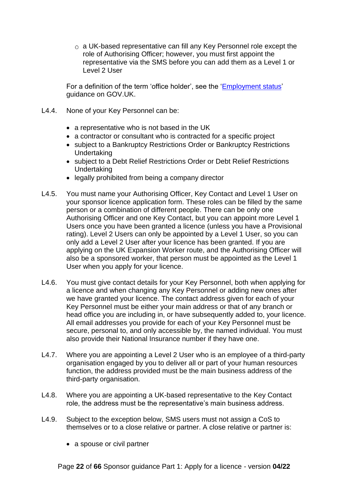$\circ$  a UK-based representative can fill any Key Personnel role except the role of Authorising Officer; however, you must first appoint the representative via the SMS before you can add them as a Level 1 or Level 2 User

For a definition of the term 'office holder', see the ['Employment status'](https://www.gov.uk/employment-status/office-holder) guidance on GOV.UK.

- L4.4. None of your Key Personnel can be:
	- a representative who is not based in the UK
	- a contractor or consultant who is contracted for a specific project
	- subject to a Bankruptcy Restrictions Order or Bankruptcy Restrictions Undertaking
	- subject to a Debt Relief Restrictions Order or Debt Relief Restrictions Undertaking
	- legally prohibited from being a company director
- L4.5. You must name your Authorising Officer, Key Contact and Level 1 User on your sponsor licence application form. These roles can be filled by the same person or a combination of different people. There can be only one Authorising Officer and one Key Contact, but you can appoint more Level 1 Users once you have been granted a licence (unless you have a Provisional rating). Level 2 Users can only be appointed by a Level 1 User, so you can only add a Level 2 User after your licence has been granted. If you are applying on the UK Expansion Worker route, and the Authorising Officer will also be a sponsored worker, that person must be appointed as the Level 1 User when you apply for your licence.
- L4.6. You must give contact details for your Key Personnel, both when applying for a licence and when changing any Key Personnel or adding new ones after we have granted your licence. The contact address given for each of your Key Personnel must be either your main address or that of any branch or head office you are including in, or have subsequently added to, your licence. All email addresses you provide for each of your Key Personnel must be secure, personal to, and only accessible by, the named individual. You must also provide their National Insurance number if they have one.
- L4.7. Where you are appointing a Level 2 User who is an employee of a third-party organisation engaged by you to deliver all or part of your human resources function, the address provided must be the main business address of the third-party organisation.
- L4.8. Where you are appointing a UK-based representative to the Key Contact role, the address must be the representative's main business address.
- L4.9. Subject to the exception below, SMS users must not assign a CoS to themselves or to a close relative or partner. A close relative or partner is:
	- a spouse or civil partner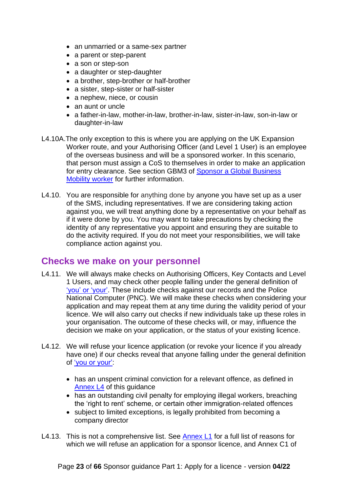- an unmarried or a same-sex partner
- a parent or step-parent
- a son or step-son
- a daughter or step-daughter
- a brother, step-brother or half-brother
- a sister, step-sister or half-sister
- a nephew, niece, or cousin
- an aunt or uncle
- a father-in-law, mother-in-law, brother-in-law, sister-in-law, son-in-law or daughter-in-law
- L4.10A.The only exception to this is where you are applying on the UK Expansion Worker route, and your Authorising Officer (and Level 1 User) is an employee of the overseas business and will be a sponsored worker. In this scenario, that person must assign a CoS to themselves in order to make an application for entry clearance. See section GBM3 of [Sponsor a Global Business](https://www.gov.uk/government/publications/workers-and-temporary-workers-sponsor-an-intra-company-worker)  [Mobility worker](https://www.gov.uk/government/publications/workers-and-temporary-workers-sponsor-an-intra-company-worker) for further information.
- L4.10. You are responsible for anything done by anyone you have set up as a user of the SMS, including representatives. If we are considering taking action against you, we will treat anything done by a representative on your behalf as if it were done by you. You may want to take precautions by checking the identity of any representative you appoint and ensuring they are suitable to do the activity required. If you do not meet your responsibilities, we will take compliance action against you.

#### <span id="page-22-0"></span>**Checks we make on your personnel**

- L4.11. We will always make checks on Authorising Officers, Key Contacts and Level 1 Users, and may check other people falling under the general definition of ['you' or 'your'.](#page-10-1) These include checks against our records and the Police National Computer (PNC). We will make these checks when considering your application and may repeat them at any time during the validity period of your licence. We will also carry out checks if new individuals take up these roles in your organisation. The outcome of these checks will, or may, influence the decision we make on your application, or the status of your existing licence.
- L4.12. We will refuse your licence application (or revoke your licence if you already have one) if our checks reveal that anyone falling under the general definition of ['you or your':](#page-10-1)
	- has an unspent criminal conviction for a relevant offence, as defined in [Annex L4](#page-61-0) of this guidance
	- has an outstanding civil penalty for emploving illegal workers, breaching the 'right to rent' scheme, or certain other immigration-related offences
	- subject to limited exceptions, is legally prohibited from becoming a company director
- L4.13. This is not a comprehensive list. See [Annex L1](#page-56-0) for a full list of reasons for which we will refuse an application for a sponsor licence, and Annex C1 of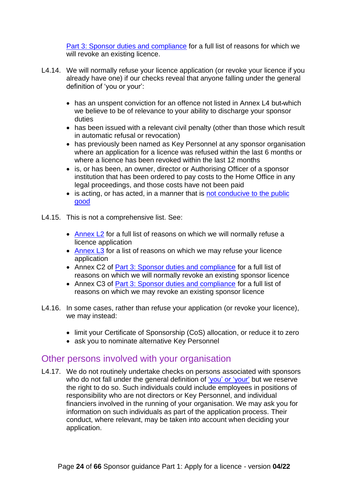[Part 3: Sponsor duties and compliance](https://www.gov.uk/government/publications/workers-and-temporary-workers-guidance-for-sponsors-part-3-sponsor-duties-and-compliance) for a full list of reasons for which we will revoke an existing licence.

- L4.14. We will normally refuse your licence application (or revoke your licence if you already have one) if our checks reveal that anyone falling under the general definition of 'you or your':
	- has an unspent conviction for an offence not listed in Annex L4 but-which we believe to be of relevance to your ability to discharge your sponsor duties
	- has been issued with a relevant civil penalty (other than those which result in automatic refusal or revocation)
	- has previously been named as Key Personnel at any sponsor organisation where an application for a licence was refused within the last 6 months or where a licence has been revoked within the last 12 months
	- is, or has been, an owner, director or Authorising Officer of a sponsor institution that has been ordered to pay costs to the Home Office in any legal proceedings, and those costs have not been paid
	- is acting, or has acted, in a manner that is not conducive to the public [good](#page-14-2)
- L4.15. This is not a comprehensive list. See:
	- [Annex L2](#page-58-0) for a full list of reasons on which we will normally refuse a licence application
	- [Annex L3](#page-61-0) for a list of reasons on which we may refuse your licence application
	- Annex C2 of [Part 3: Sponsor duties and compliance](https://www.gov.uk/government/publications/workers-and-temporary-workers-guidance-for-sponsors-part-3-sponsor-duties-and-compliance) for a full list of reasons on which we will normally revoke an existing sponsor licence
	- Annex C3 of [Part 3: Sponsor duties and compliance](https://www.gov.uk/government/publications/workers-and-temporary-workers-guidance-for-sponsors-part-3-sponsor-duties-and-compliance) for a full list of reasons on which we may revoke an existing sponsor licence
- L4.16. In some cases, rather than refuse your application (or revoke your licence), we may instead:
	- limit your Certificate of Sponsorship (CoS) allocation, or reduce it to zero
	- ask you to nominate alternative Key Personnel

### <span id="page-23-0"></span>Other persons involved with your organisation

L4.17. We do not routinely undertake checks on persons associated with sponsors who do not fall under the general definition of ['you' or 'your'](#page-10-1) but we reserve the right to do so. Such individuals could include employees in positions of responsibility who are not directors or Key Personnel, and individual financiers involved in the running of your organisation. We may ask you for information on such individuals as part of the application process. Their conduct, where relevant, may be taken into account when deciding your application.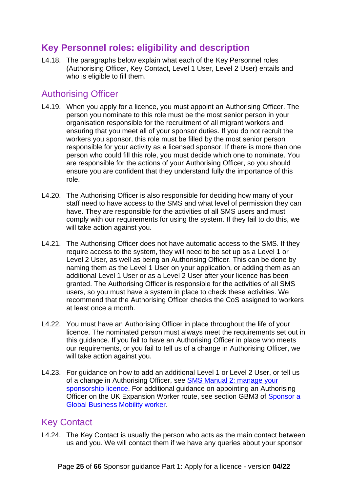# <span id="page-24-0"></span>**Key Personnel roles: eligibility and description**

L4.18. The paragraphs below explain what each of the Key Personnel roles (Authorising Officer, Key Contact, Level 1 User, Level 2 User) entails and who is eligible to fill them.

## <span id="page-24-1"></span>Authorising Officer

- L4.19. When you apply for a licence, you must appoint an Authorising Officer. The person you nominate to this role must be the most senior person in your organisation responsible for the recruitment of all migrant workers and ensuring that you meet all of your sponsor duties. If you do not recruit the workers you sponsor, this role must be filled by the most senior person responsible for your activity as a licensed sponsor. If there is more than one person who could fill this role, you must decide which one to nominate. You are responsible for the actions of your Authorising Officer, so you should ensure you are confident that they understand fully the importance of this role.
- L4.20. The Authorising Officer is also responsible for deciding how many of your staff need to have access to the SMS and what level of permission they can have. They are responsible for the activities of all SMS users and must comply with our requirements for using the system. If they fail to do this, we will take action against you.
- L4.21. The Authorising Officer does not have automatic access to the SMS. If they require access to the system, they will need to be set up as a Level 1 or Level 2 User, as well as being an Authorising Officer. This can be done by naming them as the Level 1 User on your application, or adding them as an additional Level 1 User or as a Level 2 User after your licence has been granted. The Authorising Officer is responsible for the activities of all SMS users, so you must have a system in place to check these activities. We recommend that the Authorising Officer checks the CoS assigned to workers at least once a month.
- L4.22. You must have an Authorising Officer in place throughout the life of your licence. The nominated person must always meet the requirements set out in this guidance. If you fail to have an Authorising Officer in place who meets our requirements, or you fail to tell us of a change in Authorising Officer, we will take action against you.
- L4.23. For guidance on how to add an additional Level 1 or Level 2 User, or tell us of a change in Authorising Officer, see [SMS Manual 2: manage your](https://www.gov.uk/government/collections/sponsorship-information-for-employers-and-educators#user-manuals:-sponsorship-management-system-(sms)) [sponsorship](https://www.gov.uk/government/collections/sponsorship-information-for-employers-and-educators#user-manuals:-sponsorship-management-system-(sms)) licence. For additional guidance on appointing an Authorising Officer on the UK Expansion Worker route, see section GBM3 of [Sponsor a](https://www.gov.uk/government/publications/workers-and-temporary-workers-sponsor-an-intra-company-worker)  [Global Business Mobility worker.](https://www.gov.uk/government/publications/workers-and-temporary-workers-sponsor-an-intra-company-worker)

## <span id="page-24-2"></span>Key Contact

L4.24. The Key Contact is usually the person who acts as the main contact between us and you. We will contact them if we have any queries about your sponsor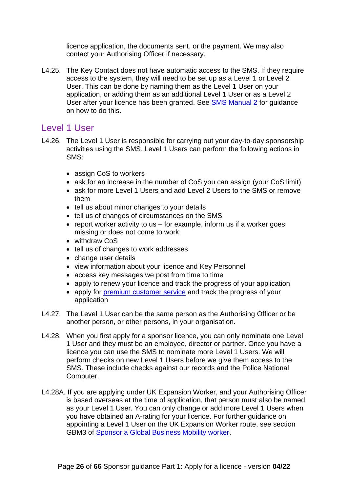licence application, the documents sent, or the payment. We may also contact your Authorising Officer if necessary.

L4.25. The Key Contact does not have automatic access to the SMS. If they require access to the system, they will need to be set up as a Level 1 or Level 2 User. This can be done by naming them as the Level 1 User on your application, or adding them as an additional Level 1 User or as a Level 2 User after your licence has been granted. See [SMS Manual 2](https://www.gov.uk/government/collections/sponsorship-information-for-employers-and-educators#user-manuals:-sponsorship-management-system-(sms)) for guidance on how to do this.

#### <span id="page-25-0"></span>Level 1 User

- L4.26. The Level 1 User is responsible for carrying out your day-to-day sponsorship activities using the SMS. Level 1 Users can perform the following actions in SMS:
	- assign CoS to workers
	- ask for an increase in the number of CoS you can assign (your CoS limit)
	- ask for more Level 1 Users and add Level 2 Users to the SMS or remove them
	- tell us about minor changes to your details
	- tell us of changes of circumstances on the SMS
	- report worker activity to us  $-$  for example, inform us if a worker goes missing or does not come to work
	- withdraw CoS
	- tell us of changes to work addresses
	- change user details
	- view information about your licence and Key Personnel
	- access key messages we post from time to time
	- apply to renew your licence and track the progress of your application
	- apply for [premium customer service](#page-46-4) and track the progress of your application
- L4.27. The Level 1 User can be the same person as the Authorising Officer or be another person, or other persons, in your organisation.
- L4.28. When you first apply for a sponsor licence, you can only nominate one Level 1 User and they must be an employee, director or partner. Once you have a licence you can use the SMS to nominate more Level 1 Users. We will perform checks on new Level 1 Users before we give them access to the SMS. These include checks against our records and the Police National Computer.
- L4.28A. If you are applying under UK Expansion Worker, and your Authorising Officer is based overseas at the time of application, that person must also be named as your Level 1 User. You can only change or add more Level 1 Users when you have obtained an A-rating for your licence. For further guidance on appointing a Level 1 User on the UK Expansion Worker route, see section GBM3 of [Sponsor a Global Business Mobility worker.](https://www.gov.uk/government/collections/sponsorship-information-for-employers-and-educators#workers-and-temporary-workers:-guidance-for-sponsors)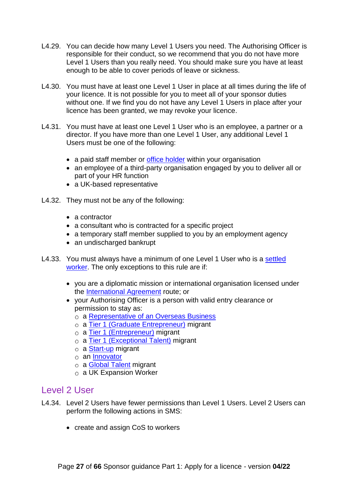- L4.29. You can decide how many Level 1 Users you need. The Authorising Officer is responsible for their conduct, so we recommend that you do not have more Level 1 Users than you really need. You should make sure you have at least enough to be able to cover periods of leave or sickness.
- L4.30. You must have at least one Level 1 User in place at all times during the life of your licence. It is not possible for you to meet all of your sponsor duties without one. If we find you do not have any Level 1 Users in place after your licence has been granted, we may revoke your licence.
- L4.31. You must have at least one Level 1 User who is an employee, a partner or a director. If you have more than one Level 1 User, any additional Level 1 Users must be one of the following:
	- a paid staff member or [office holder](https://www.gov.uk/employment-status/office-holder) within your organisation
	- an employee of a third-party organisation engaged by you to deliver all or part of your HR function
	- a UK-based representative
- L4.32. They must not be any of the following:
	- a contractor
	- a consultant who is contracted for a specific project
	- a temporary staff member supplied to you by an employment agency
	- an undischarged bankrupt
- L4.33. You must always have a minimum of one Level 1 User who is a settled [worker.](#page-9-0) The only exceptions to this rule are if:
	- you are a diplomatic mission or international organisation licensed under the [International Agreement](https://www.gov.uk/government/publications/workers-and-temporary-workers-guidance-for-sponsors-sponsor-an-international-agreement-worker) route; or
	- your Authorising Officer is a person with valid entry clearance or permission to stay as:
		- a [Representative of an Overseas Business](https://www.gov.uk/representative-overseas-business)
		- a [Tier 1 \(Graduate Entrepreneur\)](https://www.gov.uk/tier-1-graduate-entrepreneur-visa) migrant
		- o a [Tier 1 \(Entrepreneur\)](https://www.gov.uk/tier-1-entrepreneur) migrant
		- a [Tier 1 \(Exceptional Talent\)](https://www.gov.uk/tier-1-exceptional-talent) migrant
		- $\circ$  a [Start-up](https://www.gov.uk/start-up-visa) migrant
		- $\circ$  an [Innovator](https://www.gov.uk/innovator-visa)
		- o a [Global Talent](https://www.gov.uk/global-talent) migrant
		- a UK Expansion Worker

#### <span id="page-26-0"></span>Level 2 User

- L4.34. Level 2 Users have fewer permissions than Level 1 Users. Level 2 Users can perform the following actions in SMS:
	- create and assign CoS to workers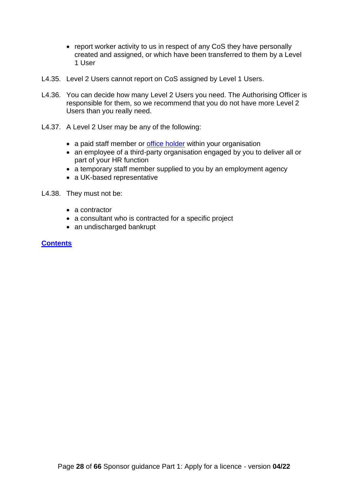- report worker activity to us in respect of any CoS they have personally created and assigned, or which have been transferred to them by a Level 1 User
- L4.35. Level 2 Users cannot report on CoS assigned by Level 1 Users.
- L4.36. You can decide how many Level 2 Users you need. The Authorising Officer is responsible for them, so we recommend that you do not have more Level 2 Users than you really need.
- L4.37. A Level 2 User may be any of the following:
	- a paid staff member or [office holder](https://www.gov.uk/employment-status/office-holder) within your organisation
	- an employee of a third-party organisation engaged by you to deliver all or part of your HR function
	- a temporary staff member supplied to you by an employment agency
	- a UK-based representative
- <span id="page-27-0"></span>L4.38. They must not be:
	- a contractor
	- a consultant who is contracted for a specific project
	- an undischarged bankrupt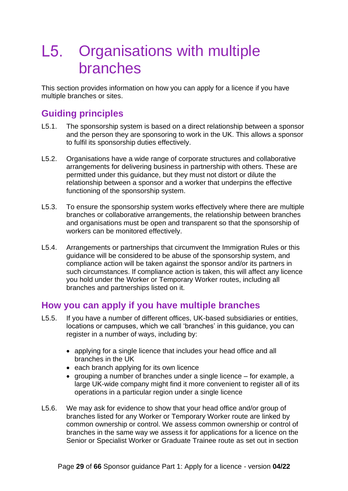# <span id="page-28-0"></span>L5. Organisations with multiple branches

This section provides information on how you can apply for a licence if you have multiple branches or sites.

## <span id="page-28-1"></span>**Guiding principles**

- L5.1. The sponsorship system is based on a direct relationship between a sponsor and the person they are sponsoring to work in the UK. This allows a sponsor to fulfil its sponsorship duties effectively.
- L5.2. Organisations have a wide range of corporate structures and collaborative arrangements for delivering business in partnership with others. These are permitted under this guidance, but they must not distort or dilute the relationship between a sponsor and a worker that underpins the effective functioning of the sponsorship system.
- L5.3. To ensure the sponsorship system works effectively where there are multiple branches or collaborative arrangements, the relationship between branches and organisations must be open and transparent so that the sponsorship of workers can be monitored effectively.
- L5.4. Arrangements or partnerships that circumvent the Immigration Rules or this guidance will be considered to be abuse of the sponsorship system, and compliance action will be taken against the sponsor and/or its partners in such circumstances. If compliance action is taken, this will affect any licence you hold under the Worker or Temporary Worker routes, including all branches and partnerships listed on it.

### <span id="page-28-2"></span>**How you can apply if you have multiple branches**

- L5.5. If you have a number of different offices, UK-based subsidiaries or entities, locations or campuses, which we call 'branches' in this guidance, you can register in a number of ways, including by:
	- applying for a single licence that includes your head office and all branches in the UK
	- each branch applying for its own licence
	- grouping a number of branches under a single licence for example, a large UK-wide company might find it more convenient to register all of its operations in a particular region under a single licence
- L5.6. We may ask for evidence to show that your head office and/or group of branches listed for any Worker or Temporary Worker route are linked by common ownership or control. We assess common ownership or control of branches in the same way we assess it for applications for a licence on the Senior or Specialist Worker or Graduate Trainee route as set out in section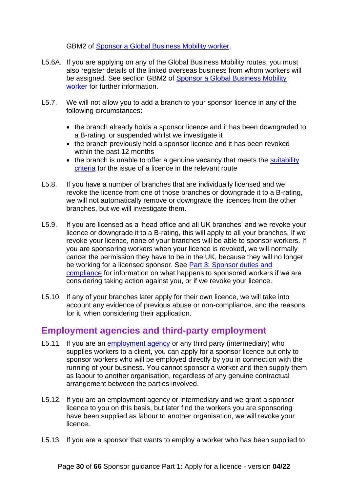GBM2 of [Sponsor a Global Business Mobility](https://www.gov.uk/government/publications/workers-and-temporary-workers-sponsor-an-intra-company-worker) worker.

- L5.6A. If you are applying on any of the Global Business Mobility routes, you must also register details of the linked overseas business from whom workers will be assigned. See section GBM2 of [Sponsor a Global Business Mobility](https://www.gov.uk/government/publications/workers-and-temporary-workers-sponsor-an-intra-company-worker)  [worker](https://www.gov.uk/government/publications/workers-and-temporary-workers-sponsor-an-intra-company-worker) for further information.
- L5.7. We will not allow you to add a branch to your sponsor licence in any of the following circumstances:
	- the branch already holds a sponsor licence and it has been downgraded to a B-rating, or suspended whilst we investigate it
	- the branch previously held a sponsor licence and it has been revoked within the past 12 months
	- the branch is unable to offer a genuine vacancy that meets the suitability [criteria](#page-41-3) for the issue of a licence in the relevant route
- L5.8. If you have a number of branches that are individually licensed and we revoke the licence from one of those branches or downgrade it to a B-rating, we will not automatically remove or downgrade the licences from the other branches, but we will investigate them.
- L5.9. If you are licensed as a 'head office and all UK branches' and we revoke your licence or downgrade it to a B-rating, this will apply to all your branches. If we revoke your licence, none of your branches will be able to sponsor workers. If you are sponsoring workers when your licence is revoked, we will normally cancel the permission they have to be in the UK, because they will no longer be working for a licensed sponsor. See [Part 3: Sponsor duties and](https://www.gov.uk/government/publications/workers-and-temporary-workers-guidance-for-sponsors-part-3-sponsor-duties-and-compliance)  [compliance](https://www.gov.uk/government/publications/workers-and-temporary-workers-guidance-for-sponsors-part-3-sponsor-duties-and-compliance) for information on what happens to sponsored workers if we are considering taking action against you, or if we revoke your licence.
- L5.10. If any of your branches later apply for their own licence, we will take into account any evidence of previous abuse or non-compliance, and the reasons for it, when considering their application.

## <span id="page-29-0"></span>**Employment agencies and third-party employment**

- L5.11. If you are an [employment agency](https://www.gov.uk/employment-agencies-and-businesses/overview) or any third party (intermediary) who supplies workers to a client, you can apply for a sponsor licence but only to sponsor workers who will be employed directly by you in connection with the running of your business. You cannot sponsor a worker and then supply them as labour to another organisation, regardless of any genuine contractual arrangement between the parties involved.
- L5.12. If you are an employment agency or intermediary and we grant a sponsor licence to you on this basis, but later find the workers you are sponsoring have been supplied as labour to another organisation, we will revoke your licence.
- L5.13. If you are a sponsor that wants to employ a worker who has been supplied to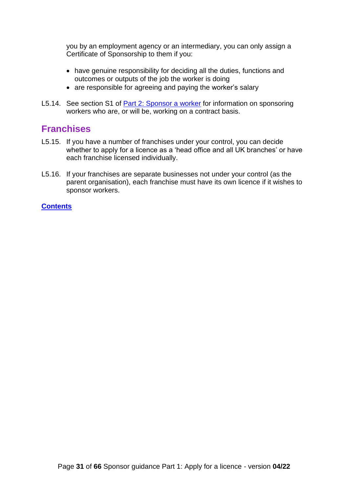you by an employment agency or an intermediary, you can only assign a Certificate of Sponsorship to them if you:

- have genuine responsibility for deciding all the duties, functions and outcomes or outputs of the job the worker is doing
- are responsible for agreeing and paying the worker's salary
- L5.14. See section S1 of [Part 2: Sponsor a worker](https://www.gov.uk/government/publications/workers-and-temporary-workers-guidance-for-sponsors-part-2-sponsor-a-worker) for information on sponsoring workers who are, or will be, working on a contract basis.

### <span id="page-30-0"></span>**Franchises**

- L5.15. If you have a number of franchises under your control, you can decide whether to apply for a licence as a 'head office and all UK branches' or have each franchise licensed individually.
- L5.16. If your franchises are separate businesses not under your control (as the parent organisation), each franchise must have its own licence if it wishes to sponsor workers.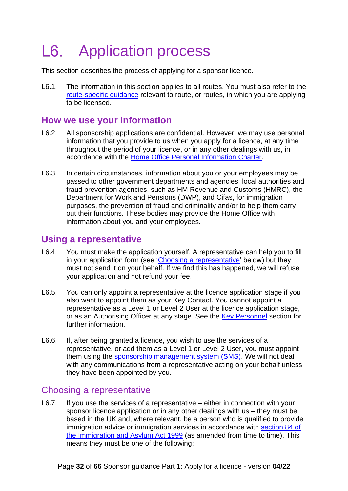# <span id="page-31-0"></span>L6. Application process

This section describes the process of applying for a sponsor licence.

L6.1. The information in this section applies to all routes. You must also refer to the [route-specific guidance](#page-5-2) relevant to route, or routes, in which you are applying to be licensed.

## <span id="page-31-1"></span>**How we use your information**

- L6.2. All sponsorship applications are confidential. However, we may use personal information that you provide to us when you apply for a licence, at any time throughout the period of your licence, or in any other dealings with us, in accordance with the [Home Office Personal Information Charter.](https://www.gov.uk/government/organisations/home-office/about/personal-information-charter)
- L6.3. In certain circumstances, information about you or your employees may be passed to other government departments and agencies, local authorities and fraud prevention agencies, such as HM Revenue and Customs (HMRC), the Department for Work and Pensions (DWP), and Cifas, for immigration purposes, the prevention of fraud and criminality and/or to help them carry out their functions. These bodies may provide the Home Office with information about you and your employees.

### <span id="page-31-2"></span>**Using a representative**

- L6.4. You must make the application yourself. A representative can help you to fill in your application form (see ['Choosing a representative'](#page-31-3) below) but they must not send it on your behalf. If we find this has happened, we will refuse your application and not refund your fee.
- L6.5. You can only appoint a representative at the licence application stage if you also want to appoint them as your Key Contact. You cannot appoint a representative as a Level 1 or Level 2 User at the licence application stage, or as an Authorising Officer at any stage. See the [Key Personnel](#page-20-0) section for further information.
- L6.6. If, after being granted a licence, you wish to use the services of a representative, or add them as a Level 1 or Level 2 User, you must appoint them using the [sponsorship management system \(SMS\).](#page-52-1) We will not deal with any communications from a representative acting on your behalf unless they have been appointed by you.

#### <span id="page-31-3"></span>Choosing a representative

L6.7. If you use the services of a representative – either in connection with your sponsor licence application or in any other dealings with us – they must be based in the UK and, where relevant, be a person who is qualified to provide immigration advice or immigration services in accordance with [section 84 of](http://www.legislation.gov.uk/ukpga/1999/33/section/84)  [the Immigration and Asylum Act 1999](http://www.legislation.gov.uk/ukpga/1999/33/section/84) (as amended from time to time). This means they must be one of the following: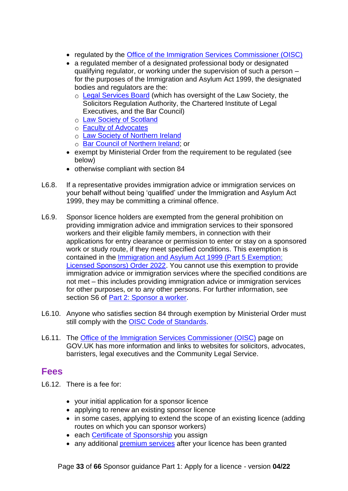- regulated by the [Office of the Immigration Services Commissioner \(OISC\)](https://www.gov.uk/government/organisations/office-of-the-immigration-services-commissioner)
- a regulated member of a designated professional body or designated qualifying regulator, or working under the supervision of such a person – for the purposes of the Immigration and Asylum Act 1999, the designated bodies and regulators are the:
	- o [Legal Services Board](https://www.legalservicesboard.org.uk/) (which has oversight of the Law Society, the Solicitors Regulation Authority, the Chartered Institute of Legal Executives, and the Bar Council)
	- [Law Society of Scotland](https://www.lawscot.org.uk/)
	- [Faculty of Advocates](http://www.advocates.org.uk/)
	- [Law Society of Northern Ireland](https://www.lawsoc-ni.org/)
	- o [Bar Council of Northern Ireland;](http://www.barofni.com/) or
- exempt by Ministerial Order from the requirement to be regulated (see below)
- otherwise compliant with section 84
- L6.8. If a representative provides immigration advice or immigration services on your behalf without being 'qualified' under the Immigration and Asylum Act 1999, they may be committing a criminal offence.
- L6.9. Sponsor licence holders are exempted from the general prohibition on providing immigration advice and immigration services to their sponsored workers and their eligible family members, in connection with their applications for entry clearance or permission to enter or stay on a sponsored work or study route, if they meet specified conditions. This exemption is contained in the [Immigration and Asylum Act 1999 \(Part 5 Exemption:](https://www.legislation.gov.uk/uksi/2022/235/contents/made)  [Licensed Sponsors\) Order 2022.](https://www.legislation.gov.uk/uksi/2022/235/contents/made) You cannot use this exemption to provide immigration advice or immigration services where the specified conditions are not met – this includes providing immigration advice or immigration services for other purposes, or to any other persons. For further information, see section S6 of [Part 2: Sponsor a worker.](https://www.gov.uk/government/publications/workers-and-temporary-workers-guidance-for-sponsors-part-2-sponsor-a-worker/workers-and-temporary-workers-guidance-for-sponsors-part-2-sponsor-a-worker-general-information-accessible-version)
- L6.10. Anyone who satisfies section 84 through exemption by Ministerial Order must still comply with the [OISC Code of Standards.](https://www.gov.uk/government/publications/oisc-code-of-standards-commissioners-rules-2012)
- L6.11. The [Office of the Immigration Services Commissioner \(OISC\)](https://www.gov.uk/find-an-immigration-adviser/search-for-an-adviser) page on GOV.UK has more information and links to websites for solicitors, advocates, barristers, legal executives and the Community Legal Service.

#### <span id="page-32-0"></span>**Fees**

- L6.12. There is a fee for:
	- your initial application for a sponsor licence
	- applying to renew an existing sponsor licence
	- in some cases, applying to extend the scope of an existing licence (adding routes on which you can sponsor workers)
	- each [Certificate of Sponsorship](#page-8-1) you assign
	- any additional [premium services](#page-46-3) after your licence has been granted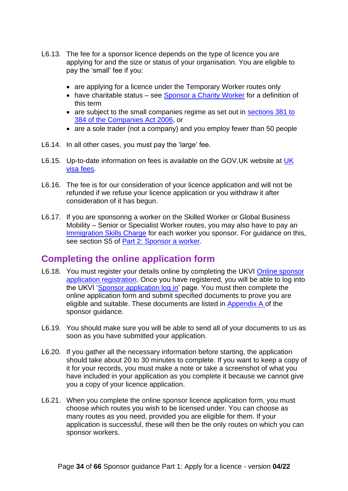- L6.13. The fee for a sponsor licence depends on the type of licence you are applying for and the size or status of your organisation. You are eligible to pay the 'small' fee if you:
	- are applying for a licence under the Temporary Worker routes only
	- have charitable status see [Sponsor a Charity Worker](https://www.gov.uk/government/publications/workers-and-temporary-workers-guidance-for-sponsors-sponsor-a-charity-worker) for a definition of this term
	- are subject to the small companies regime as set out in sections 381 to [384 of the Companies Act 2006,](http://www.legislation.gov.uk/ukpga/2006/46/section/381) or
	- are a sole trader (not a company) and you employ fewer than 50 people
- L6.14. In all other cases, you must pay the 'large' fee.
- L6.15. Up-to-date information on fees is available on the GOV.UK website at [UK](https://www.gov.uk/government/publications/visa-regulations-revised-table)  [visa fees.](https://www.gov.uk/government/publications/visa-regulations-revised-table)
- L6.16. The fee is for our consideration of your licence application and will not be refunded if we refuse your licence application or you withdraw it after consideration of it has begun.
- L6.17. If you are sponsoring a worker on the Skilled Worker or Global Business Mobility – Senior or Specialist Worker routes, you may also have to pay an [Immigration Skills Charge](https://www.gov.uk/uk-visa-sponsorship-employers/immigration-skills-charge) for each worker you sponsor. For guidance on this, see section S5 of [Part 2: Sponsor a worker.](https://www.gov.uk/government/publications/workers-and-temporary-workers-guidance-for-sponsors-part-2-sponsor-a-worker)

### <span id="page-33-0"></span>**Completing the online application form**

- L6.18. You must register your details online by completing the UKVI [Online sponsor](https://www.points.homeoffice.gov.uk/gui-sponsor-jsf/Register/SponsorRegister.faces)  [application registration.](https://www.points.homeoffice.gov.uk/gui-sponsor-jsf/Register/SponsorRegister.faces) Once you have registered, you will be able to log into the UKVI ['Sponsor application log in'](https://www.points.homeoffice.gov.uk/gui-sponsor-jsf/Home/SponsorHome.faces) page. You must then complete the online application form and submit specified documents to prove you are eligible and suitable. These documents are listed in [Appendix A o](https://www.gov.uk/government/publications/supporting-documents-for-sponsor-applications-appendix-a)f the sponsor guidance.
- L6.19. You should make sure you will be able to send all of your documents to us as soon as you have submitted your application.
- L6.20. If you gather all the necessary information before starting, the application should take about 20 to 30 minutes to complete. If you want to keep a copy of it for your records, you must make a note or take a screenshot of what you have included in your application as you complete it because we cannot give you a copy of your licence application.
- L6.21. When you complete the online sponsor licence application form, you must choose which routes you wish to be licensed under. You can choose as many routes as you need, provided you are eligible for them. If your application is successful, these will then be the only routes on which you can sponsor workers.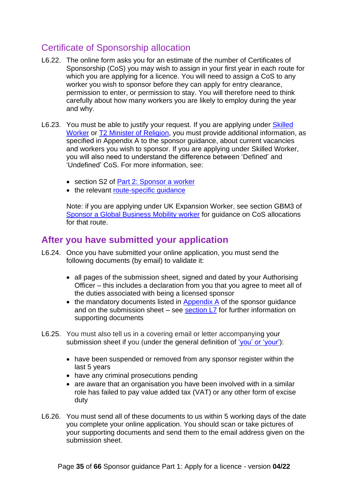## <span id="page-34-0"></span>Certificate of Sponsorship allocation

- L6.22. The online form asks you for an estimate of the number of Certificates of Sponsorship (CoS) you may wish to assign in your first year in each route for which you are applying for a licence. You will need to assign a CoS to any worker you wish to sponsor before they can apply for entry clearance, permission to enter, or permission to stay. You will therefore need to think carefully about how many workers you are likely to employ during the year and why.
- L6.23. You must be able to justify your request. If you are applying under Skilled [Worker](https://www.gov.uk/government/publications/workers-and-temporary-workers-sponsor-a-skilled-worker) or **T2 Minister of Religion**, you must provide additional information, as specified in Appendix A to the sponsor guidance, about current vacancies and workers you wish to sponsor. If you are applying under Skilled Worker, you will also need to understand the difference between 'Defined' and 'Undefined' CoS. For more information, see:
	- section S2 of Part 2: [Sponsor a worker](https://www.gov.uk/government/publications/workers-and-temporary-workers-guidance-for-sponsors-part-2-sponsor-a-worker)
	- the relevant route-specific quidance

Note: if you are applying under UK Expansion Worker, see section GBM3 of [Sponsor a Global Business Mobility worker](https://www.gov.uk/government/publications/workers-and-temporary-workers-sponsor-an-intra-company-worker) for guidance on CoS allocations for that route.

### <span id="page-34-1"></span>**After you have submitted your application**

- L6.24. Once you have submitted your online application, you must send the following documents (by email) to validate it:
	- all pages of the submission sheet, signed and dated by your Authorising Officer – this includes a declaration from you that you agree to meet all of the duties associated with being a licensed sponsor
	- the mandatory documents listed in [Appendix A](https://www.gov.uk/government/publications/supporting-documents-for-sponsor-applications-appendix-a) of the sponsor guidance and on the submission sheet – see [section L7](#page-36-0) for further information on supporting documents
- L6.25. You must also tell us in a covering email or letter accompanying your submission sheet if you (under the general definition of ['you' or 'your'\)](#page-10-1):
	- have been suspended or removed from any sponsor register within the last 5 years
	- have any criminal prosecutions pending
	- are aware that an organisation you have been involved with in a similar role has failed to pay value added tax (VAT) or any other form of excise duty
- L6.26. You must send all of these documents to us within 5 working days of the date you complete your online application. You should scan or take pictures of your supporting documents and send them to the email address given on the submission sheet.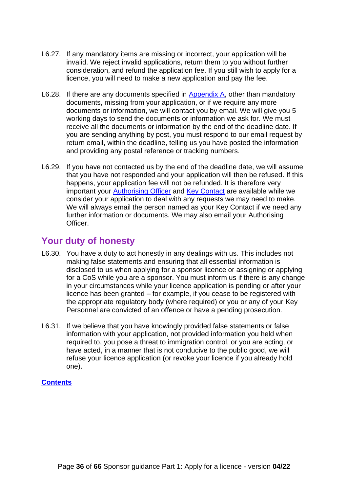- L6.27. If any mandatory items are missing or incorrect, your application will be invalid. We reject invalid applications, return them to you without further consideration, and refund the application fee. If you still wish to apply for a licence, you will need to make a new application and pay the fee.
- L6.28. If there are any documents specified in [Appendix A,](https://www.gov.uk/government/publications/supporting-documents-for-sponsor-applications-appendix-a) other than mandatory documents, missing from your application, or if we require any more documents or information, we will contact you by email. We will give you 5 working days to send the documents or information we ask for. We must receive all the documents or information by the end of the deadline date. If you are sending anything by post, you must respond to our email request by return email, within the deadline, telling us you have posted the information and providing any postal reference or tracking numbers.
- L6.29. If you have not contacted us by the end of the deadline date, we will assume that you have not responded and your application will then be refused. If this happens, your application fee will not be refunded. It is therefore very important your [Authorising Officer](#page-24-1) and [Key Contact](#page-24-2) are available while we consider your application to deal with any requests we may need to make. We will always email the person named as your Key Contact if we need any further information or documents. We may also email your Authorising Officer.

## <span id="page-35-0"></span>**Your duty of honesty**

- L6.30. You have a duty to act honestly in any dealings with us. This includes not making false statements and ensuring that all essential information is disclosed to us when applying for a sponsor licence or assigning or applying for a CoS while you are a sponsor. You must inform us if there is any change in your circumstances while your licence application is pending or after your licence has been granted – for example, if you cease to be registered with the appropriate regulatory body (where required) or you or any of your Key Personnel are convicted of an offence or have a pending prosecution.
- L6.31. If we believe that you have knowingly provided false statements or false information with your application, not provided information you held when required to, you pose a threat to immigration control, or you are acting, or have acted, in a manner that is not conducive to the public good, we will refuse your licence application (or revoke your licence if you already hold one).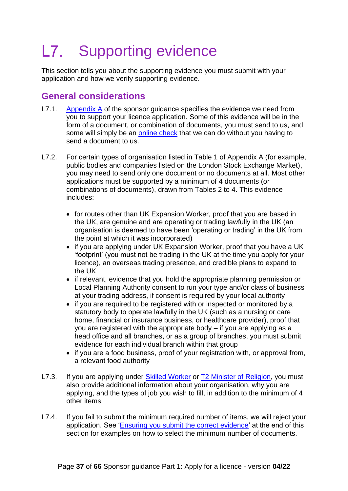#### <span id="page-36-0"></span> $L7.$ Supporting evidence

This section tells you about the supporting evidence you must submit with your application and how we verify supporting evidence.

## <span id="page-36-1"></span>**General considerations**

- L7.1. [Appendix A](https://www.gov.uk/government/publications/supporting-documents-for-sponsor-applications-appendix-a) of the sponsor quidance specifies the evidence we need from you to support your licence application. Some of this evidence will be in the form of a document, or combination of documents, you must send to us, and some will simply be an [online check](#page-38-1) that we can do without you having to send a document to us.
- L7.2. For certain types of organisation listed in Table 1 of Appendix A (for example, public bodies and companies listed on the London Stock Exchange Market), you may need to send only one document or no documents at all. Most other applications must be supported by a minimum of 4 documents (or combinations of documents), drawn from Tables 2 to 4. This evidence includes:
	- for routes other than UK Expansion Worker, proof that you are based in the UK, are genuine and are operating or trading lawfully in the UK (an organisation is deemed to have been 'operating or trading' in the UK from the point at which it was incorporated)
	- if you are applying under UK Expansion Worker, proof that you have a UK 'footprint' (you must not be trading in the UK at the time you apply for your licence), an overseas trading presence, and credible plans to expand to the UK
	- if relevant, evidence that you hold the appropriate planning permission or Local Planning Authority consent to run your type and/or class of business at your trading address, if consent is required by your local authority
	- if you are required to be registered with or inspected or monitored by a statutory body to operate lawfully in the UK (such as a nursing or care home, financial or insurance business, or healthcare provider), proof that you are registered with the appropriate body – if you are applying as a head office and all branches, or as a group of branches, you must submit evidence for each individual branch within that group
	- if you are a food business, proof of your registration with, or approval from, a relevant food authority
- L7.3. If you are applying under [Skilled Worker](https://www.gov.uk/government/publications/workers-and-temporary-workers-sponsor-a-skilled-worker) or [T2 Minister of Religion,](https://www.gov.uk/government/publications/workers-and-temporary-workers-guidance-for-sponsors-sponsor-a-minister-of-religion-or-religious-worker) you must also provide additional information about your organisation, why you are applying, and the types of job you wish to fill, in addition to the minimum of 4 other items.
- L7.4. If you fail to submit the minimum required number of items, we will reject your application. See ['Ensuring you submit the correct evidence'](#page-39-2) at the end of this section for examples on how to select the minimum number of documents.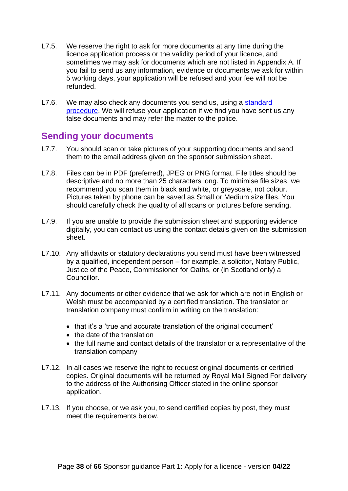- L7.5. We reserve the right to ask for more documents at any time during the licence application process or the validity period of your licence, and sometimes we may ask for documents which are not listed in Appendix A. If you fail to send us any information, evidence or documents we ask for within 5 working days, your application will be refused and your fee will not be refunded.
- L7.6. We may also check any documents you send us, using a standard [procedure.](#page-39-0) We will refuse your application if we find you have sent us any false documents and may refer the matter to the police.

#### <span id="page-37-0"></span>**Sending your documents**

- L7.7. You should scan or take pictures of your supporting documents and send them to the email address given on the sponsor submission sheet.
- L7.8. Files can be in PDF (preferred), JPEG or PNG format. File titles should be descriptive and no more than 25 characters long. To minimise file sizes, we recommend you scan them in black and white, or greyscale, not colour. Pictures taken by phone can be saved as Small or Medium size files. You should carefully check the quality of all scans or pictures before sending.
- L7.9. If you are unable to provide the submission sheet and supporting evidence digitally, you can contact us using the contact details given on the submission sheet.
- L7.10. Any affidavits or statutory declarations you send must have been witnessed by a qualified, independent person – for example, a solicitor, Notary Public, Justice of the Peace, Commissioner for Oaths, or (in Scotland only) a Councillor.
- L7.11. Any documents or other evidence that we ask for which are not in English or Welsh must be accompanied by a certified translation. The translator or translation company must confirm in writing on the translation:
	- that it's a 'true and accurate translation of the original document'
	- the date of the translation
	- the full name and contact details of the translator or a representative of the translation company
- L7.12. In all cases we reserve the right to request original documents or certified copies. Original documents will be returned by Royal Mail Signed For delivery to the address of the Authorising Officer stated in the online sponsor application.
- L7.13. If you choose, or we ask you, to send certified copies by post, they must meet the requirements below.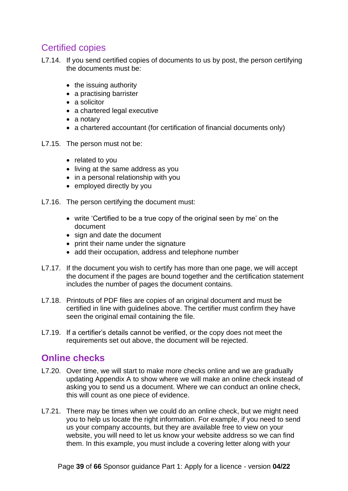## <span id="page-38-0"></span>Certified copies

- L7.14. If you send certified copies of documents to us by post, the person certifying the documents must be:
	- the issuing authority
	- a practising barrister
	- a solicitor
	- a chartered legal executive
	- a notary
	- a chartered accountant (for certification of financial documents only)
- L7.15. The person must not be:
	- related to you
	- living at the same address as you
	- in a personal relationship with you
	- employed directly by you
- L7.16. The person certifying the document must:
	- write 'Certified to be a true copy of the original seen by me' on the document
	- sign and date the document
	- print their name under the signature
	- add their occupation, address and telephone number
- L7.17. If the document you wish to certify has more than one page, we will accept the document if the pages are bound together and the certification statement includes the number of pages the document contains.
- L7.18. Printouts of PDF files are copies of an original document and must be certified in line with guidelines above. The certifier must confirm they have seen the original email containing the file.
- L7.19. If a certifier's details cannot be verified, or the copy does not meet the requirements set out above, the document will be rejected.

### <span id="page-38-1"></span>**Online checks**

- L7.20. Over time, we will start to make more checks online and we are gradually updating Appendix A to show where we will make an online check instead of asking you to send us a document. Where we can conduct an online check, this will count as one piece of evidence.
- L7.21. There may be times when we could do an online check, but we might need you to help us locate the right information. For example, if you need to send us your company accounts, but they are available free to view on your website, you will need to let us know your website address so we can find them. In this example, you must include a covering letter along with your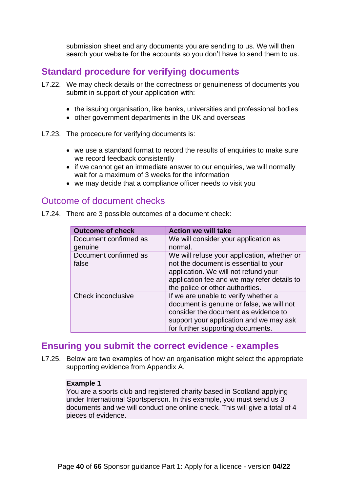submission sheet and any documents you are sending to us. We will then search your website for the accounts so you don't have to send them to us.

## <span id="page-39-0"></span>**Standard procedure for verifying documents**

- L7.22. We may check details or the correctness or genuineness of documents you submit in support of your application with:
	- the issuing organisation, like banks, universities and professional bodies
	- other government departments in the UK and overseas
- L7.23. The procedure for verifying documents is:
	- we use a standard format to record the results of enquiries to make sure we record feedback consistently
	- if we cannot get an immediate answer to our enquiries, we will normally wait for a maximum of 3 weeks for the information
	- we may decide that a compliance officer needs to visit you

#### <span id="page-39-1"></span>Outcome of document checks

| <b>Outcome of check</b>        | <b>Action we will take</b>                                                           |
|--------------------------------|--------------------------------------------------------------------------------------|
| Document confirmed as          | We will consider your application as                                                 |
| genuine                        | normal.                                                                              |
| Document confirmed as<br>false | We will refuse your application, whether or<br>not the document is essential to your |
|                                | application. We will not refund your                                                 |
|                                | application fee and we may refer details to<br>the police or other authorities.      |
| Check inconclusive             | If we are unable to verify whether a                                                 |
|                                |                                                                                      |
|                                | document is genuine or false, we will not                                            |
|                                | consider the document as evidence to                                                 |
|                                | support your application and we may ask                                              |
|                                | for further supporting documents.                                                    |

L7.24. There are 3 possible outcomes of a document check:

### <span id="page-39-2"></span>**Ensuring you submit the correct evidence - examples**

L7.25. Below are two examples of how an organisation might select the appropriate supporting evidence from Appendix A.

#### **Example 1**

You are a sports club and registered charity based in Scotland applying under International Sportsperson. In this example, you must send us 3 documents and we will conduct one online check. This will give a total of 4 pieces of evidence.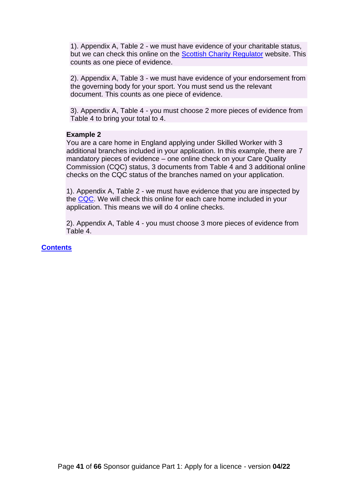1). Appendix A, Table 2 - we must have evidence of your charitable status, but we can check this online on the [Scottish Charity Regulator](https://www.oscr.org.uk/) website. This counts as one piece of evidence.

2). Appendix A, Table 3 - we must have evidence of your endorsement from the governing body for your sport. You must send us the relevant document. This counts as one piece of evidence.

3). Appendix A, Table 4 - you must choose 2 more pieces of evidence from Table 4 to bring your total to 4.

#### **Example 2**

You are a care home in England applying under Skilled Worker with 3 additional branches included in your application. In this example, there are 7 mandatory pieces of evidence – one online check on your Care Quality Commission (CQC) status, 3 documents from Table 4 and 3 additional online checks on the CQC status of the branches named on your application.

1). Appendix A, Table 2 - we must have evidence that you are inspected by the [CQC.](http://www.cqc.org.uk/) We will check this online for each care home included in your application. This means we will do 4 online checks.

2). Appendix A, Table 4 - you must choose 3 more pieces of evidence from Table 4.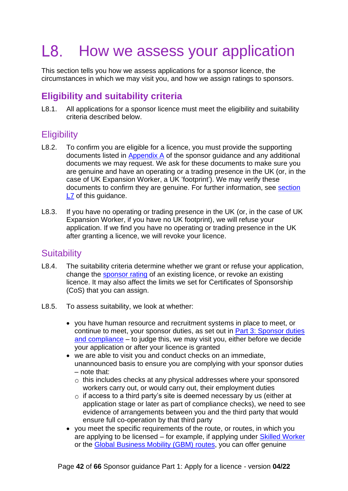#### <span id="page-41-0"></span>L8. How we assess your application

This section tells you how we assess applications for a sponsor licence, the circumstances in which we may visit you, and how we assign ratings to sponsors.

# <span id="page-41-1"></span>**Eligibility and suitability criteria**

L8.1. All applications for a sponsor licence must meet the eligibility and suitability criteria described below.

## <span id="page-41-2"></span>**Eligibility**

- L8.2. To confirm you are eligible for a licence, you must provide the supporting documents listed in [Appendix A](https://www.gov.uk/government/publications/supporting-documents-for-sponsor-applications-appendix-a) of the sponsor guidance and any additional documents we may request. We ask for these documents to make sure you are genuine and have an operating or a trading presence in the UK (or, in the case of UK Expansion Worker, a UK 'footprint'). We may verify these documents to confirm they are genuine. For further information, see [section](#page-36-0)  [L7](#page-36-0) of this quidance.
- L8.3. If you have no operating or trading presence in the UK (or, in the case of UK Expansion Worker, if you have no UK footprint), we will refuse your application. If we find you have no operating or trading presence in the UK after granting a licence, we will revoke your licence.

## <span id="page-41-3"></span>**Suitability**

- L8.4. The suitability criteria determine whether we grant or refuse your application, change the [sponsor rating](#page-44-0) of an existing licence, or revoke an existing licence. It may also affect the limits we set for Certificates of Sponsorship (CoS) that you can assign.
- L8.5. To assess suitability, we look at whether:
	- you have human resource and recruitment systems in place to meet, or continue to meet, your sponsor duties, as set out in [Part 3: Sponsor duties](https://www.gov.uk/government/publications/workers-and-temporary-workers-guidance-for-sponsors-part-3-sponsor-duties-and-compliance)  [and compliance](https://www.gov.uk/government/publications/workers-and-temporary-workers-guidance-for-sponsors-part-3-sponsor-duties-and-compliance) – to judge this, we may visit you, either before we decide your application or after your licence is granted
	- we are able to visit you and conduct checks on an immediate, unannounced basis to ensure you are complying with your sponsor duties – note that:
		- $\circ$  this includes checks at any physical addresses where your sponsored workers carry out, or would carry out, their employment duties
		- $\circ$  if access to a third party's site is deemed necessary by us (either at application stage or later as part of compliance checks), we need to see evidence of arrangements between you and the third party that would ensure full co-operation by that third party
	- you meet the specific requirements of the route, or routes, in which you are applying to be licensed – for example, if applying under [Skilled Worker](https://www.gov.uk/government/publications/workers-and-temporary-workers-sponsor-a-skilled-worker) or the [Global Business Mobility \(GBM\)](https://www.gov.uk/government/publications/workers-and-temporary-workers-sponsor-an-intra-company-worker) routes, you can offer genuine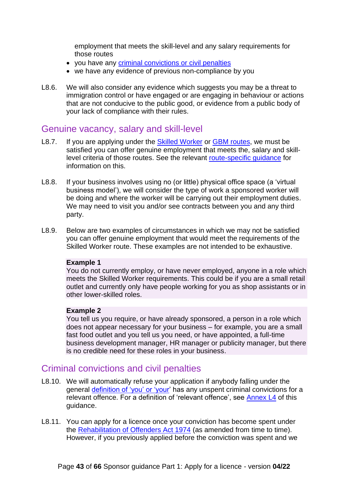employment that meets the skill-level and any salary requirements for those routes

- you have any [criminal convictions](#page-42-1) or civil penalties
- we have any evidence of previous non-compliance by you
- L8.6. We will also consider any evidence which suggests you may be a threat to immigration control or have engaged or are engaging in behaviour or actions that are not conducive to the public good, or evidence from a public body of your lack of compliance with their rules.

#### <span id="page-42-0"></span>Genuine vacancy, salary and skill-level

- L8.7. If you are applying under the [Skilled Worker](https://www.gov.uk/government/publications/workers-and-temporary-workers-sponsor-a-skilled-worker) or GBM [routes,](https://www.gov.uk/government/publications/workers-and-temporary-workers-sponsor-an-intra-company-worker) we must be satisfied you can offer genuine employment that meets the, salary and skilllevel criteria of those routes. See the relevant [route-specific guidance](#page-5-2) for information on this.
- L8.8. If your business involves using no (or little) physical office space (a 'virtual business model'), we will consider the type of work a sponsored worker will be doing and where the worker will be carrying out their employment duties. We may need to visit you and/or see contracts between you and any third party.
- L8.9. Below are two examples of circumstances in which we may not be satisfied you can offer genuine employment that would meet the requirements of the Skilled Worker route. These examples are not intended to be exhaustive.

#### **Example 1**

You do not currently employ, or have never employed, anyone in a role which meets the Skilled Worker requirements. This could be if you are a small retail outlet and currently only have people working for you as shop assistants or in other lower-skilled roles.

#### **Example 2**

You tell us you require, or have already sponsored, a person in a role which does not appear necessary for your business – for example, you are a small fast food outlet and you tell us you need, or have appointed, a full-time business development manager, HR manager or publicity manager, but there is no credible need for these roles in your business.

#### <span id="page-42-1"></span>Criminal convictions and civil penalties

- L8.10. We will automatically refuse your application if anybody falling under the general [definition of 'you' or 'your'](#page-10-1) has any unspent criminal convictions for a relevant offence. For a definition of 'relevant offence', see [Annex L4](#page-62-0) of this guidance.
- L8.11. You can apply for a licence once your conviction has become spent under the [Rehabilitation of Offenders Act 1974](http://www.legislation.gov.uk/ukpga/1974/53/contents) (as amended from time to time). However, if you previously applied before the conviction was spent and we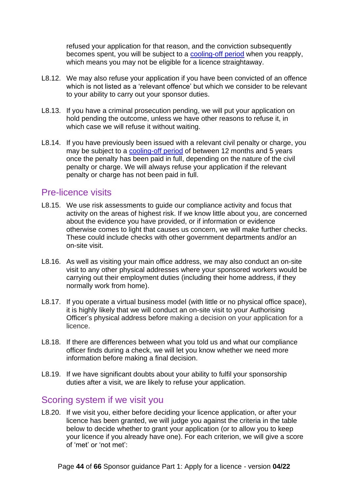refused your application for that reason, and the conviction subsequently becomes spent, you will be subject to a [cooling-off period](#page-48-0) when you reapply, which means you may not be eligible for a licence straightaway.

- L8.12. We may also refuse your application if you have been convicted of an offence which is not listed as a 'relevant offence' but which we consider to be relevant to your ability to carry out your sponsor duties.
- L8.13. If you have a criminal prosecution pending, we will put your application on hold pending the outcome, unless we have other reasons to refuse it, in which case we will refuse it without waiting.
- L8.14. If you have previously been issued with a relevant civil penalty or charge, you may be subject to a [cooling-off period](#page-48-0) of between 12 months and 5 years once the penalty has been paid in full, depending on the nature of the civil penalty or charge. We will always refuse your application if the relevant penalty or charge has not been paid in full.

#### <span id="page-43-0"></span>Pre-licence visits

- L8.15. We use risk assessments to guide our compliance activity and focus that activity on the areas of highest risk. If we know little about you, are concerned about the evidence you have provided, or if information or evidence otherwise comes to light that causes us concern, we will make further checks. These could include checks with other government departments and/or an on-site visit.
- L8.16. As well as visiting your main office address, we may also conduct an on-site visit to any other physical addresses where your sponsored workers would be carrying out their employment duties (including their home address, if they normally work from home).
- L8.17. If you operate a virtual business model (with little or no physical office space), it is highly likely that we will conduct an on-site visit to your Authorising Officer's physical address before making a decision on your application for a licence.
- L8.18. If there are differences between what you told us and what our compliance officer finds during a check, we will let you know whether we need more information before making a final decision.
- L8.19. If we have significant doubts about your ability to fulfil your sponsorship duties after a visit, we are likely to refuse your application.

### <span id="page-43-1"></span>Scoring system if we visit you

L8.20. If we visit you, either before deciding your licence application, or after your licence has been granted, we will judge you against the criteria in the table below to decide whether to grant your application (or to allow you to keep your licence if you already have one). For each criterion, we will give a score of 'met' or 'not met':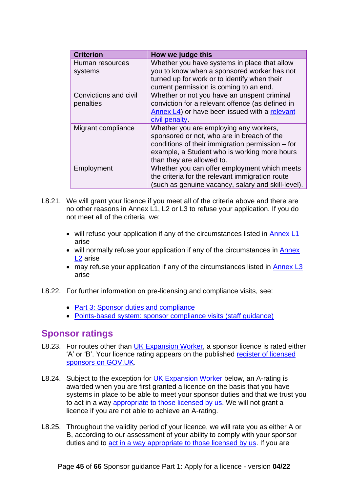| <b>Criterion</b>                   | How we judge this                                                                                                                                                                                                     |
|------------------------------------|-----------------------------------------------------------------------------------------------------------------------------------------------------------------------------------------------------------------------|
| Human resources<br>systems         | Whether you have systems in place that allow<br>you to know when a sponsored worker has not<br>turned up for work or to identify when their<br>current permission is coming to an end.                                |
| Convictions and civil<br>penalties | Whether or not you have an unspent criminal<br>conviction for a relevant offence (as defined in<br>Annex L4) or have been issued with a relevant<br>civil penalty.                                                    |
| Migrant compliance                 | Whether you are employing any workers,<br>sponsored or not, who are in breach of the<br>conditions of their immigration permission – for<br>example, a Student who is working more hours<br>than they are allowed to. |
| Employment                         | Whether you can offer employment which meets<br>the criteria for the relevant immigration route<br>(such as genuine vacancy, salary and skill-level).                                                                 |

- L8.21. We will grant your licence if you meet all of the criteria above and there are no other reasons in Annex L1, L2 or L3 to refuse your application. If you do not meet all of the criteria, we:
	- will refuse your application if any of the circumstances listed in [Annex L1](#page-56-0) arise
	- will normally refuse your application if any of the circumstances in **Annex** [L2](#page-58-0) arise
	- may refuse your application if any of the circumstances listed in [Annex L3](#page-61-0) arise
- L8.22. For further information on pre-licensing and compliance visits, see:
	- [Part 3: Sponsor duties and compliance](https://www.gov.uk/government/publications/workers-and-temporary-workers-guidance-for-sponsors-part-3-sponsor-duties-and-compliance)
	- Points-based system: sponsor compliance visits (staff quidance)

### <span id="page-44-0"></span>**Sponsor ratings**

- L8.23. For routes other than [UK Expansion Worker,](#page-45-0) a sponsor licence is rated either 'A' or 'B'. Your licence rating appears on the published [register of licensed](https://www.gov.uk/government/publications/register-of-licensed-sponsors-workers)  [sponsors](https://www.gov.uk/government/publications/register-of-licensed-sponsors-workers) on GOV.UK.
- L8.24. Subject to the exception for [UK Expansion Worker](#page-45-0) below, an A-rating is awarded when you are first granted a licence on the basis that you have systems in place to be able to meet your sponsor duties and that we trust you to act in a way [appropriate to those licensed by us.](#page-14-2) We will not grant a licence if you are not able to achieve an A-rating.
- L8.25. Throughout the validity period of your licence, we will rate you as either A or B, according to our assessment of your ability to comply with your sponsor duties and to [act in a way appropriate to those licensed by us.](#page-14-2) If you are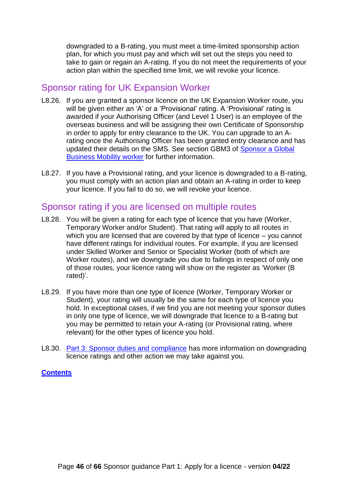downgraded to a B-rating, you must meet a time-limited sponsorship action plan, for which you must pay and which will set out the steps you need to take to gain or regain an A-rating. If you do not meet the requirements of your action plan within the specified time limit, we will revoke your licence.

### <span id="page-45-0"></span>Sponsor rating for UK Expansion Worker

- L8.26. If you are granted a sponsor licence on the UK Expansion Worker route, you will be given either an 'A' or a 'Provisional' rating. A 'Provisional' rating is awarded if your Authorising Officer (and Level 1 User) is an employee of the overseas business and will be assigning their own Certificate of Sponsorship in order to apply for entry clearance to the UK. You can upgrade to an Arating once the Authorising Officer has been granted entry clearance and has updated their details on the SMS. See section GBM3 of [Sponsor a Global](https://www.gov.uk/government/publications/workers-and-temporary-workers-sponsor-an-intra-company-worker)  [Business Mobility worker](https://www.gov.uk/government/publications/workers-and-temporary-workers-sponsor-an-intra-company-worker) for further information.
- L8.27. If you have a Provisional rating, and your licence is downgraded to a B-rating, you must comply with an action plan and obtain an A-rating in order to keep your licence. If you fail to do so, we will revoke your licence.

### <span id="page-45-1"></span>Sponsor rating if you are licensed on multiple routes

- L8.28. You will be given a rating for each type of licence that you have (Worker, Temporary Worker and/or Student). That rating will apply to all routes in which you are licensed that are covered by that type of licence – you cannot have different ratings for individual routes. For example, if you are licensed under Skilled Worker and Senior or Specialist Worker (both of which are Worker routes), and we downgrade you due to failings in respect of only one of those routes, your licence rating will show on the register as 'Worker (B rated)'.
- L8.29. If you have more than one type of licence (Worker, Temporary Worker or Student), your rating will usually be the same for each type of licence you hold. In exceptional cases, if we find you are not meeting your sponsor duties in only one type of licence, we will downgrade that licence to a B-rating but you may be permitted to retain your A-rating (or Provisional rating, where relevant) for the other types of licence you hold.
- L8.30. [Part 3: Sponsor duties and compliance](https://www.gov.uk/government/publications/workers-and-temporary-workers-guidance-for-sponsors-part-3-sponsor-duties-and-compliance) has more information on downgrading licence ratings and other action we may take against you.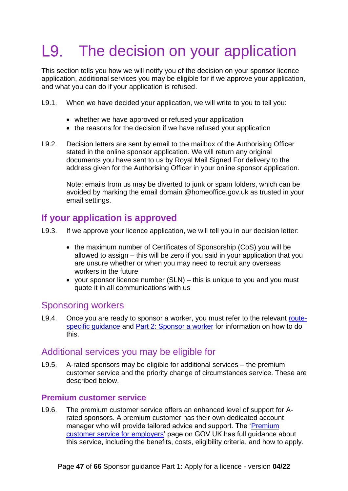# <span id="page-46-0"></span>L9. The decision on your application

This section tells you how we will notify you of the decision on your sponsor licence application, additional services you may be eligible for if we approve your application, and what you can do if your application is refused.

- L9.1. When we have decided your application, we will write to you to tell you:
	- whether we have approved or refused your application
	- the reasons for the decision if we have refused your application
- L9.2. Decision letters are sent by email to the mailbox of the Authorising Officer stated in the online sponsor application. We will return any original documents you have sent to us by Royal Mail Signed For delivery to the address given for the Authorising Officer in your online sponsor application.

Note: emails from us may be diverted to junk or spam folders, which can be avoided by marking the email domain @homeoffice.gov.uk as trusted in your email settings.

### <span id="page-46-1"></span>**If your application is approved**

- L9.3. If we approve your licence application, we will tell you in our decision letter:
	- the maximum number of Certificates of Sponsorship (CoS) you will be allowed to assign – this will be zero if you said in your application that you are unsure whether or when you may need to recruit any overseas workers in the future
	- your sponsor licence number (SLN) this is unique to you and you must quote it in all communications with us

### <span id="page-46-2"></span>Sponsoring workers

L9.4. Once you are ready to sponsor a worker, you must refer to the relevant [route](#page-5-2)[specific guidance](#page-5-2) and [Part 2: Sponsor](https://www.gov.uk/government/publications/workers-and-temporary-workers-guidance-for-sponsors-part-2-sponsor-a-worker) a worker for information on how to do this.

#### <span id="page-46-3"></span>Additional services you may be eligible for

L9.5. A-rated sponsors may be eligible for additional services – the premium customer service and the priority change of circumstances service. These are described below.

#### <span id="page-46-4"></span>**Premium customer service**

L9.6. The premium customer service offers an enhanced level of support for Arated sponsors. A premium customer has their own dedicated account manager who will provide tailored advice and support. The 'Premium [customer service for employers'](https://www.gov.uk/guidance/employer-sponsorship-join-the-premium-customer-service-scheme) page on GOV.UK has full guidance about this service, including the benefits, costs, eligibility criteria, and how to apply.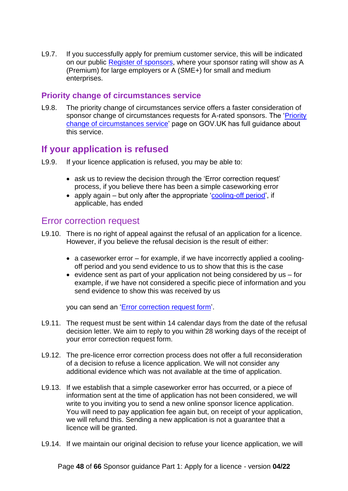L9.7. If you successfully apply for premium customer service, this will be indicated on our public [Register of sponsors,](https://www.gov.uk/government/publications/register-of-licensed-sponsors-workers) where your sponsor rating will show as A (Premium) for large employers or A (SME+) for small and medium enterprises.

#### **Priority change of circumstances service**

L9.8. The priority change of circumstances service offers a faster consideration of sponsor change of circumstances requests for A-rated sponsors. The ['Priority](http://www.gov.uk/government/publications/priority-change-of-circumstances-for-sponsors)  [change of circumstances service'](http://www.gov.uk/government/publications/priority-change-of-circumstances-for-sponsors) page on GOV.UK has full guidance about this service.

## <span id="page-47-0"></span>**If your application is refused**

- L9.9. If your licence application is refused, you may be able to:
	- ask us to review the decision through the 'Error correction request' process, if you believe there has been a simple caseworking error
	- apply again but only after the appropriate ['cooling-off period'](#page-48-0), if applicable, has ended

#### <span id="page-47-1"></span>Error correction request

- L9.10. There is no right of appeal against the refusal of an application for a licence. However, if you believe the refusal decision is the result of either:
	- a caseworker error for example, if we have incorrectly applied a coolingoff period and you send evidence to us to show that this is the case
	- evidence sent as part of your application not being considered by us for example, if we have not considered a specific piece of information and you send evidence to show this was received by us

you can send an ['Error correction request form'](https://www.gov.uk/government/publications/tiers-2-and-5-pre-licence-error-correction-form).

- L9.11. The request must be sent within 14 calendar days from the date of the refusal decision letter. We aim to reply to you within 28 working days of the receipt of your error correction request form.
- L9.12. The pre-licence error correction process does not offer a full reconsideration of a decision to refuse a licence application. We will not consider any additional evidence which was not available at the time of application.
- L9.13. If we establish that a simple caseworker error has occurred, or a piece of information sent at the time of application has not been considered, we will write to you inviting you to send a new online sponsor licence application. You will need to pay application fee again but, on receipt of your application, we will refund this. Sending a new application is not a guarantee that a licence will be granted.
- L9.14. If we maintain our original decision to refuse your licence application, we will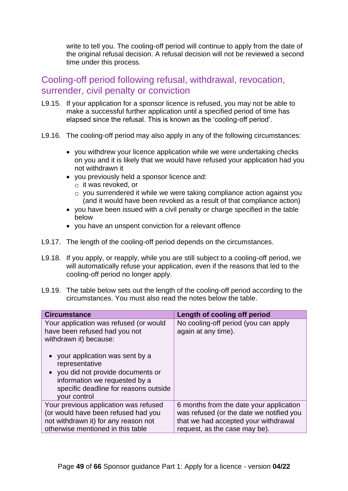write to tell you. The cooling-off period will continue to apply from the date of the original refusal decision. A refusal decision will not be reviewed a second time under this process.

### <span id="page-48-0"></span>Cooling-off period following refusal, withdrawal, revocation, surrender, civil penalty or conviction

- L9.15. If your application for a sponsor licence is refused, you may not be able to make a successful further application until a specified period of time has elapsed since the refusal. This is known as the 'cooling-off period'.
- L9.16. The cooling-off period may also apply in any of the following circumstances:
	- you withdrew your licence application while we were undertaking checks on you and it is likely that we would have refused your application had you not withdrawn it
	- you previously held a sponsor licence and:
		- $\circ$  it was revoked, or
		- $\circ$  you surrendered it while we were taking compliance action against you (and it would have been revoked as a result of that compliance action)
	- you have been issued with a civil penalty or charge specified in the table below
	- you have an unspent conviction for a relevant offence
- L9.17. The length of the cooling-off period depends on the circumstances.
- L9.18. If you apply, or reapply, while you are still subject to a cooling-off period, we will automatically refuse your application, even if the reasons that led to the cooling-off period no longer apply.
- L9.19. The table below sets out the length of the cooling-off period according to the circumstances. You must also read the notes below the table.

| <b>Circumstance</b>                                                                                                                                                                                                                                                                 | Length of cooling off period                                |
|-------------------------------------------------------------------------------------------------------------------------------------------------------------------------------------------------------------------------------------------------------------------------------------|-------------------------------------------------------------|
| Your application was refused (or would<br>have been refused had you not<br>withdrawn it) because:<br>your application was sent by a<br>representative<br>you did not provide documents or<br>information we requested by a<br>specific deadline for reasons outside<br>your control | No cooling-off period (you can apply<br>again at any time). |
| Your previous application was refused                                                                                                                                                                                                                                               | 6 months from the date your application                     |
| (or would have been refused had you                                                                                                                                                                                                                                                 | was refused (or the date we notified you                    |
| not withdrawn it) for any reason not                                                                                                                                                                                                                                                | that we had accepted your withdrawal                        |
| otherwise mentioned in this table                                                                                                                                                                                                                                                   | request, as the case may be).                               |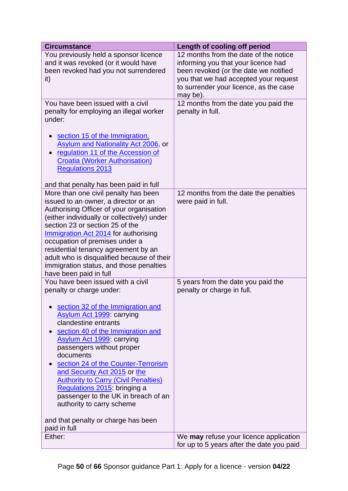| <b>Circumstance</b>                                                                                                                                                                                                                                                                                                                                                                                                                                                                                                                                               | Length of cooling off period                                                                                                                                                                                         |
|-------------------------------------------------------------------------------------------------------------------------------------------------------------------------------------------------------------------------------------------------------------------------------------------------------------------------------------------------------------------------------------------------------------------------------------------------------------------------------------------------------------------------------------------------------------------|----------------------------------------------------------------------------------------------------------------------------------------------------------------------------------------------------------------------|
| You previously held a sponsor licence<br>and it was revoked (or it would have<br>been revoked had you not surrendered<br>it)                                                                                                                                                                                                                                                                                                                                                                                                                                      | 12 months from the date of the notice<br>informing you that your licence had<br>been revoked (or the date we notified<br>you that we had accepted your request<br>to surrender your licence, as the case<br>may be). |
| You have been issued with a civil<br>penalty for employing an illegal worker<br>under:<br>section 15 of the Immigration,<br><b>Asylum and Nationality Act 2006, or</b><br>regulation 11 of the Accession of<br><b>Croatia (Worker Authorisation)</b><br><b>Regulations 2013</b><br>and that penalty has been paid in full                                                                                                                                                                                                                                         | 12 months from the date you paid the<br>penalty in full.                                                                                                                                                             |
| More than one civil penalty has been<br>issued to an owner, a director or an<br>Authorising Officer of your organisation<br>(either individually or collectively) under<br>section 23 or section 25 of the<br>Immigration Act 2014 for authorising<br>occupation of premises under a<br>residential tenancy agreement by an<br>adult who is disqualified because of their<br>immigration status, and those penalties<br>have been paid in full                                                                                                                    | 12 months from the date the penalties<br>were paid in full.                                                                                                                                                          |
| You have been issued with a civil<br>penalty or charge under:<br>section 32 of the Immigration and<br><b>Asylum Act 1999: carrying</b><br>clandestine entrants<br>section 40 of the Immigration and<br><b>Asylum Act 1999</b> carrying<br>passengers without proper<br>documents<br>section 24 of the Counter-Terrorism<br>and Security Act 2015 or the<br><b>Authority to Carry (Civil Penalties)</b><br>Regulations 2015: bringing a<br>passenger to the UK in breach of an<br>authority to carry scheme<br>and that penalty or charge has been<br>paid in full | 5 years from the date you paid the<br>penalty or charge in full.                                                                                                                                                     |
| Either:                                                                                                                                                                                                                                                                                                                                                                                                                                                                                                                                                           | We may refuse your licence application<br>for up to 5 years after the date you paid                                                                                                                                  |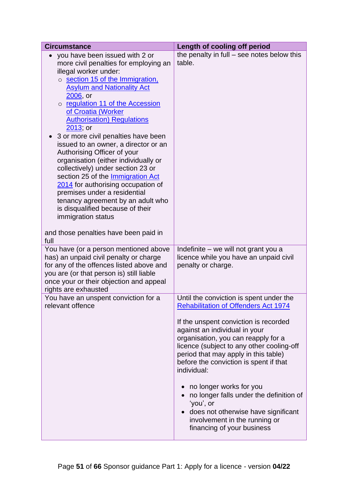| <b>Circumstance</b>                                                                                                                                                                                                                                                                                                                                                                                                                                                                                                                                                                                                                                                                                                                             | Length of cooling off period                                                                                                                                                                                                                                                           |
|-------------------------------------------------------------------------------------------------------------------------------------------------------------------------------------------------------------------------------------------------------------------------------------------------------------------------------------------------------------------------------------------------------------------------------------------------------------------------------------------------------------------------------------------------------------------------------------------------------------------------------------------------------------------------------------------------------------------------------------------------|----------------------------------------------------------------------------------------------------------------------------------------------------------------------------------------------------------------------------------------------------------------------------------------|
| you have been issued with 2 or<br>more civil penalties for employing an<br>illegal worker under:<br>o section 15 of the Immigration.<br><b>Asylum and Nationality Act</b><br>2006, or<br>o regulation 11 of the Accession<br>of Croatia (Worker<br><b>Authorisation</b> ) Regulations<br>2013; or<br>3 or more civil penalties have been<br>issued to an owner, a director or an<br>Authorising Officer of your<br>organisation (either individually or<br>collectively) under section 23 or<br>section 25 of the Immigration Act<br>2014 for authorising occupation of<br>premises under a residential<br>tenancy agreement by an adult who<br>is disqualified because of their<br>immigration status<br>and those penalties have been paid in | the penalty in full $-$ see notes below this<br>table.                                                                                                                                                                                                                                 |
| full<br>You have (or a person mentioned above                                                                                                                                                                                                                                                                                                                                                                                                                                                                                                                                                                                                                                                                                                   | Indefinite – we will not grant you a                                                                                                                                                                                                                                                   |
| has) an unpaid civil penalty or charge<br>for any of the offences listed above and<br>you are (or that person is) still liable<br>once your or their objection and appeal<br>rights are exhausted                                                                                                                                                                                                                                                                                                                                                                                                                                                                                                                                               | licence while you have an unpaid civil<br>penalty or charge.                                                                                                                                                                                                                           |
| You have an unspent conviction for a<br>relevant offence                                                                                                                                                                                                                                                                                                                                                                                                                                                                                                                                                                                                                                                                                        | Until the conviction is spent under the<br><b>Rehabilitation of Offenders Act 1974</b>                                                                                                                                                                                                 |
|                                                                                                                                                                                                                                                                                                                                                                                                                                                                                                                                                                                                                                                                                                                                                 | If the unspent conviction is recorded<br>against an individual in your<br>organisation, you can reapply for a<br>licence (subject to any other cooling-off<br>period that may apply in this table)<br>before the conviction is spent if that<br>individual:<br>no longer works for you |
|                                                                                                                                                                                                                                                                                                                                                                                                                                                                                                                                                                                                                                                                                                                                                 | no longer falls under the definition of<br>'you', or<br>does not otherwise have significant<br>involvement in the running or<br>financing of your business                                                                                                                             |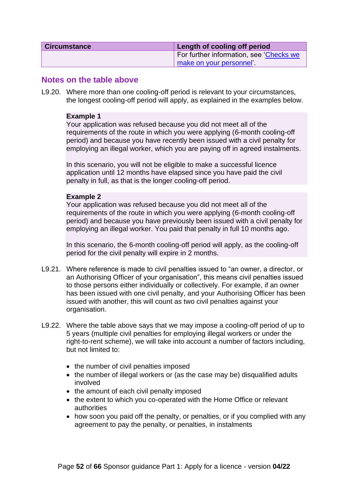| <b>Circumstance</b> | Length of cooling off period            |
|---------------------|-----------------------------------------|
|                     | For further information, see 'Checks we |
|                     | make on your personnel'                 |

#### **Notes on the table above**

L9.20. Where more than one cooling-off period is relevant to your circumstances, the longest cooling-off period will apply, as explained in the examples below.

#### **Example 1**

Your application was refused because you did not meet all of the requirements of the route in which you were applying (6-month cooling-off period) and because you have recently been issued with a civil penalty for employing an illegal worker, which you are paying off in agreed instalments.

In this scenario, you will not be eligible to make a successful licence application until 12 months have elapsed since you have paid the civil penalty in full, as that is the longer cooling-off period.

#### **Example 2**

Your application was refused because you did not meet all of the requirements of the route in which you were applying (6-month cooling-off period) and because you have previously been issued with a civil penalty for employing an illegal worker. You paid that penalty in full 10 months ago.

In this scenario, the 6-month cooling-off period will apply, as the cooling-off period for the civil penalty will expire in 2 months.

- L9.21. Where reference is made to civil penalties issued to "an owner, a director, or an Authorising Officer of your organisation", this means civil penalties issued to those persons either individually or collectively. For example, if an owner has been issued with one civil penalty, and your Authorising Officer has been issued with another, this will count as two civil penalties against your organisation.
- L9.22. Where the table above says that we may impose a cooling-off period of up to 5 years (multiple civil penalties for employing illegal workers or under the right-to-rent scheme), we will take into account a number of factors including, but not limited to:
	- the number of civil penalties imposed
	- the number of illegal workers or (as the case may be) disqualified adults involved
	- the amount of each civil penalty imposed
	- the extent to which you co-operated with the Home Office or relevant authorities
	- how soon you paid off the penalty, or penalties, or if you complied with any agreement to pay the penalty, or penalties, in instalments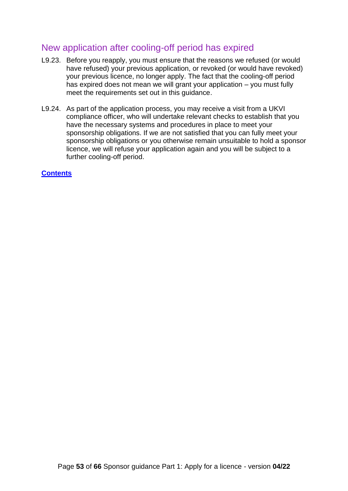## <span id="page-52-0"></span>New application after cooling-off period has expired

- L9.23. Before you reapply, you must ensure that the reasons we refused (or would have refused) your previous application, or revoked (or would have revoked) your previous licence, no longer apply. The fact that the cooling-off period has expired does not mean we will grant your application – you must fully meet the requirements set out in this guidance.
- <span id="page-52-1"></span>L9.24. As part of the application process, you may receive a visit from a UKVI compliance officer, who will undertake relevant checks to establish that you have the necessary systems and procedures in place to meet your sponsorship obligations. If we are not satisfied that you can fully meet your sponsorship obligations or you otherwise remain unsuitable to hold a sponsor licence, we will refuse your application again and you will be subject to a further cooling-off period.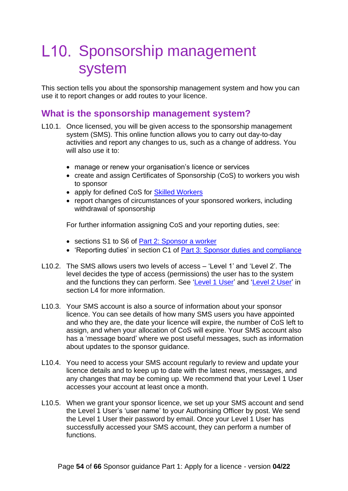# <span id="page-53-0"></span>L10. Sponsorship management system

This section tells you about the sponsorship management system and how you can use it to report changes or add routes to your licence.

### <span id="page-53-1"></span>**What is the sponsorship management system?**

- L10.1. Once licensed, you will be given access to the sponsorship management system (SMS). This online function allows you to carry out day-to-day activities and report any changes to us, such as a change of address. You will also use it to:
	- manage or renew your organisation's licence or services
	- create and assign Certificates of Sponsorship (CoS) to workers you wish to sponsor
	- apply for defined CoS for [Skilled Workers](https://www.gov.uk/government/publications/workers-and-temporary-workers-sponsor-a-skilled-worker)
	- report changes of circumstances of your sponsored workers, including withdrawal of sponsorship

For further information assigning CoS and your reporting duties, see:

- sections S1 to S6 of [Part 2: Sponsor a worker](https://www.gov.uk/government/publications/workers-and-temporary-workers-guidance-for-sponsors-part-2-sponsor-a-worker)
- 'Reporting duties' in section C1 of [Part 3: Sponsor duties](https://www.gov.uk/government/publications/workers-and-temporary-workers-guidance-for-sponsors-part-3-sponsor-duties-and-compliance) and compliance
- L10.2. The SMS allows users two levels of access 'Level 1' and 'Level 2'. The level decides the type of access (permissions) the user has to the system and the functions they can perform. See ['Level 1 User'](#page-25-0) and ['Level 2 User'](#page-27-0) in section L4 for more information.
- L10.3. Your SMS account is also a source of information about your sponsor licence. You can see details of how many SMS users you have appointed and who they are, the date your licence will expire, the number of CoS left to assign, and when your allocation of CoS will expire. Your SMS account also has a 'message board' where we post useful messages, such as information about updates to the sponsor guidance.
- L10.4. You need to access your SMS account regularly to review and update your licence details and to keep up to date with the latest news, messages, and any changes that may be coming up. We recommend that your Level 1 User accesses your account at least once a month.
- L10.5. When we grant your sponsor licence, we set up your SMS account and send the Level 1 User's 'user name' to your Authorising Officer by post. We send the Level 1 User their password by email. Once your Level 1 User has successfully accessed your SMS account, they can perform a number of functions.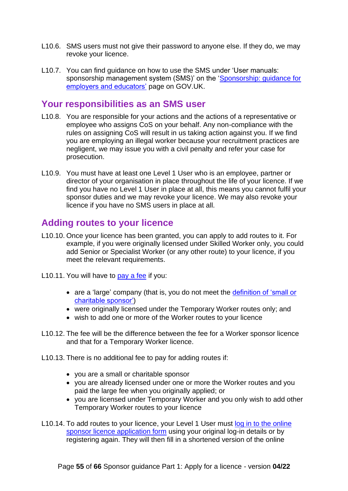- L10.6. SMS users must not give their password to anyone else. If they do, we may revoke your licence.
- L10.7. You can find guidance on how to use the SMS under 'User manuals: sponsorship management system (SMS)' on the ['Sponsorship: guidance for](https://www.gov.uk/government/collections/sponsorship-information-for-employers-and-educators#user-manuals-sponsorship-management-system-sms)  [employers and educators'](https://www.gov.uk/government/collections/sponsorship-information-for-employers-and-educators#user-manuals-sponsorship-management-system-sms) page on GOV.UK.

#### <span id="page-54-0"></span>**Your responsibilities as an SMS user**

- L10.8. You are responsible for your actions and the actions of a representative or employee who assigns CoS on your behalf. Any non-compliance with the rules on assigning CoS will result in us taking action against you. If we find you are employing an illegal worker because your recruitment practices are negligent, we may issue you with a civil penalty and refer your case for prosecution.
- L10.9. You must have at least one Level 1 User who is an employee, partner or director of your organisation in place throughout the life of your licence. If we find you have no Level 1 User in place at all, this means you cannot fulfil your sponsor duties and we may revoke your licence. We may also revoke your licence if you have no SMS users in place at all.

## <span id="page-54-1"></span>**Adding routes to your licence**

- L10.10. Once your licence has been granted, you can apply to add routes to it. For example, if you were originally licensed under Skilled Worker only, you could add Senior or Specialist Worker (or any other route) to your licence, if you meet the relevant requirements.
- L10.11. You will have to [pay a fee](https://www.gov.uk/government/publications/visa-regulations-revised-table) if you:
	- are a 'large' company (that is, you do not meet the definition of 'small or [charitable sponsor'\)](#page-32-0)
	- were originally licensed under the Temporary Worker routes only; and
	- wish to add one or more of the Worker routes to your licence
- L10.12. The fee will be the difference between the fee for a Worker sponsor licence and that for a Temporary Worker licence.
- L10.13. There is no additional fee to pay for adding routes if:
	- you are a small or charitable sponsor
	- you are already licensed under one or more the Worker routes and you paid the large fee when you originally applied; or
	- you are licensed under Temporary Worker and you only wish to add other Temporary Worker routes to your licence
- L10.14. To add routes to your licence, your Level 1 User must [log in to the online](https://www.points.homeoffice.gov.uk/gui-sponsor-jsf/Home/SponsorHome.faces)  [sponsor licence application form](https://www.points.homeoffice.gov.uk/gui-sponsor-jsf/Home/SponsorHome.faces) using your original log-in details or by registering again. They will then fill in a shortened version of the online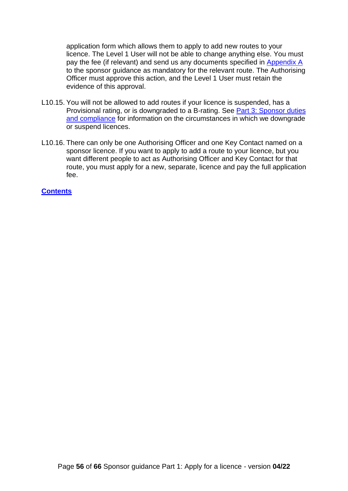application form which allows them to apply to add new routes to your licence. The Level 1 User will not be able to change anything else. You must pay the fee (if relevant) and send us any documents specified in [Appendix A](https://www.gov.uk/government/publications/supporting-documents-for-sponsor-applications-appendix-a) to the sponsor guidance as mandatory for the relevant route. The Authorising Officer must approve this action, and the Level 1 User must retain the evidence of this approval.

- L10.15. You will not be allowed to add routes if your licence is suspended, has a Provisional rating, or is downgraded to a B-rating. See [Part 3: Sponsor duties](https://www.gov.uk/government/publications/workers-and-temporary-workers-guidance-for-sponsors-part-3-sponsor-duties-and-compliance)  [and compliance](https://www.gov.uk/government/publications/workers-and-temporary-workers-guidance-for-sponsors-part-3-sponsor-duties-and-compliance) for information on the circumstances in which we downgrade or suspend licences.
- L10.16. There can only be one Authorising Officer and one Key Contact named on a sponsor licence. If you want to apply to add a route to your licence, but you want different people to act as Authorising Officer and Key Contact for that route, you must apply for a new, separate, licence and pay the full application fee.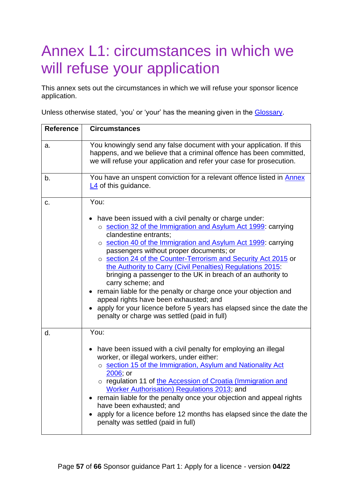# <span id="page-56-0"></span>Annex L1: circumstances in which we will refuse your application

This annex sets out the circumstances in which we will refuse your sponsor licence application.

Unless otherwise stated, 'you' or 'your' has the meaning given in the [Glossary.](#page-8-0)

| <b>Reference</b> | <b>Circumstances</b>                                                                                                                                                                                                                                                                                                                                                                                                                                                                                                                                                                                                                                                                                                 |
|------------------|----------------------------------------------------------------------------------------------------------------------------------------------------------------------------------------------------------------------------------------------------------------------------------------------------------------------------------------------------------------------------------------------------------------------------------------------------------------------------------------------------------------------------------------------------------------------------------------------------------------------------------------------------------------------------------------------------------------------|
| a.               | You knowingly send any false document with your application. If this<br>happens, and we believe that a criminal offence has been committed,<br>we will refuse your application and refer your case for prosecution.                                                                                                                                                                                                                                                                                                                                                                                                                                                                                                  |
| b.               | You have an unspent conviction for a relevant offence listed in Annex<br>$L4$ of this guidance.                                                                                                                                                                                                                                                                                                                                                                                                                                                                                                                                                                                                                      |
| C.               | You:                                                                                                                                                                                                                                                                                                                                                                                                                                                                                                                                                                                                                                                                                                                 |
|                  | have been issued with a civil penalty or charge under:<br>o section 32 of the Immigration and Asylum Act 1999: carrying<br>clandestine entrants;<br>o section 40 of the Immigration and Asylum Act 1999: carrying<br>passengers without proper documents; or<br>o section 24 of the Counter-Terrorism and Security Act 2015 or<br>the Authority to Carry (Civil Penalties) Regulations 2015<br>bringing a passenger to the UK in breach of an authority to<br>carry scheme; and<br>remain liable for the penalty or charge once your objection and<br>appeal rights have been exhausted; and<br>apply for your licence before 5 years has elapsed since the date the<br>penalty or charge was settled (paid in full) |
| d.               | You:<br>have been issued with a civil penalty for employing an illegal<br>$\bullet$<br>worker, or illegal workers, under either:<br>o section 15 of the Immigration, Asylum and Nationality Act                                                                                                                                                                                                                                                                                                                                                                                                                                                                                                                      |
|                  | 2006; or<br>o regulation 11 of the Accession of Croatia (Immigration and<br>Worker Authorisation) Regulations 2013; and<br>remain liable for the penalty once your objection and appeal rights<br>have been exhausted; and<br>apply for a licence before 12 months has elapsed since the date the<br>penalty was settled (paid in full)                                                                                                                                                                                                                                                                                                                                                                              |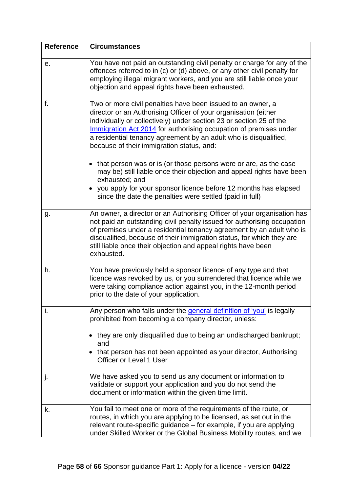| <b>Reference</b> | <b>Circumstances</b>                                                                                                                                                                                                                                                                                                                                                                                                                                            |
|------------------|-----------------------------------------------------------------------------------------------------------------------------------------------------------------------------------------------------------------------------------------------------------------------------------------------------------------------------------------------------------------------------------------------------------------------------------------------------------------|
| е.               | You have not paid an outstanding civil penalty or charge for any of the<br>offences referred to in (c) or (d) above, or any other civil penalty for<br>employing illegal migrant workers, and you are still liable once your<br>objection and appeal rights have been exhausted.                                                                                                                                                                                |
| f.               | Two or more civil penalties have been issued to an owner, a<br>director or an Authorising Officer of your organisation (either<br>individually or collectively) under section 23 or section 25 of the<br>Immigration Act 2014 for authorising occupation of premises under<br>a residential tenancy agreement by an adult who is disqualified,<br>because of their immigration status, and:<br>that person was or is (or those persons were or are, as the case |
|                  | may be) still liable once their objection and appeal rights have been<br>exhausted; and<br>• you apply for your sponsor licence before 12 months has elapsed<br>since the date the penalties were settled (paid in full)                                                                                                                                                                                                                                        |
| g.               | An owner, a director or an Authorising Officer of your organisation has<br>not paid an outstanding civil penalty issued for authorising occupation<br>of premises under a residential tenancy agreement by an adult who is<br>disqualified, because of their immigration status, for which they are<br>still liable once their objection and appeal rights have been<br>exhausted.                                                                              |
| h.               | You have previously held a sponsor licence of any type and that<br>licence was revoked by us, or you surrendered that licence while we<br>were taking compliance action against you, in the 12-month period<br>prior to the date of your application.                                                                                                                                                                                                           |
| j.               | Any person who falls under the general definition of 'you' is legally<br>prohibited from becoming a company director, unless:<br>they are only disqualified due to being an undischarged bankrupt;<br>and<br>that person has not been appointed as your director, Authorising<br>Officer or Level 1 User                                                                                                                                                        |
| j.               | We have asked you to send us any document or information to<br>validate or support your application and you do not send the<br>document or information within the given time limit.                                                                                                                                                                                                                                                                             |
| k.               | You fail to meet one or more of the requirements of the route, or<br>routes, in which you are applying to be licensed, as set out in the<br>relevant route-specific guidance – for example, if you are applying<br>under Skilled Worker or the Global Business Mobility routes, and we                                                                                                                                                                          |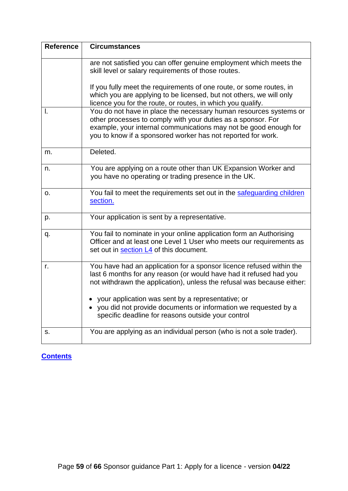<span id="page-58-0"></span>

| <b>Reference</b> | <b>Circumstances</b>                                                                                                                                                                                                                                                  |
|------------------|-----------------------------------------------------------------------------------------------------------------------------------------------------------------------------------------------------------------------------------------------------------------------|
|                  | are not satisfied you can offer genuine employment which meets the<br>skill level or salary requirements of those routes.<br>If you fully meet the requirements of one route, or some routes, in                                                                      |
|                  | which you are applying to be licensed, but not others, we will only<br>licence you for the route, or routes, in which you qualify.                                                                                                                                    |
| I.               | You do not have in place the necessary human resources systems or<br>other processes to comply with your duties as a sponsor. For<br>example, your internal communications may not be good enough for<br>you to know if a sponsored worker has not reported for work. |
| m.               | Deleted.                                                                                                                                                                                                                                                              |
| n.               | You are applying on a route other than UK Expansion Worker and<br>you have no operating or trading presence in the UK.                                                                                                                                                |
| о.               | You fail to meet the requirements set out in the safequarding children<br>section.                                                                                                                                                                                    |
| p.               | Your application is sent by a representative.                                                                                                                                                                                                                         |
| q.               | You fail to nominate in your online application form an Authorising<br>Officer and at least one Level 1 User who meets our requirements as<br>set out in section L4 of this document.                                                                                 |
| r.               | You have had an application for a sponsor licence refused within the<br>last 6 months for any reason (or would have had it refused had you<br>not withdrawn the application), unless the refusal was because either:                                                  |
|                  | your application was sent by a representative; or<br>• you did not provide documents or information we requested by a<br>specific deadline for reasons outside your control                                                                                           |
| s.               | You are applying as an individual person (who is not a sole trader).                                                                                                                                                                                                  |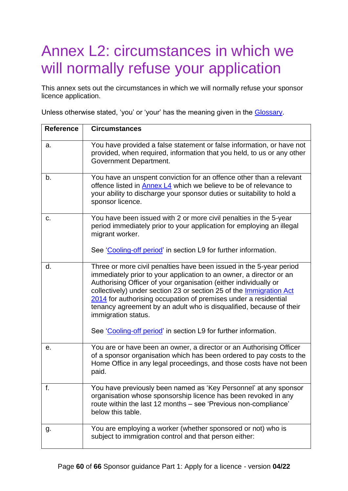# <span id="page-59-0"></span>Annex L2: circumstances in which we will normally refuse your application

This annex sets out the circumstances in which we will normally refuse your sponsor licence application.

Unless otherwise stated, 'you' or 'your' has the meaning given in the [Glossary.](#page-62-0)

| <b>Reference</b> | <b>Circumstances</b>                                                                                                                                                                                                                                                                                                                                                                                                                                                                                                      |
|------------------|---------------------------------------------------------------------------------------------------------------------------------------------------------------------------------------------------------------------------------------------------------------------------------------------------------------------------------------------------------------------------------------------------------------------------------------------------------------------------------------------------------------------------|
| a.               | You have provided a false statement or false information, or have not<br>provided, when required, information that you held, to us or any other<br>Government Department.                                                                                                                                                                                                                                                                                                                                                 |
| b.               | You have an unspent conviction for an offence other than a relevant<br>offence listed in Annex L4 which we believe to be of relevance to<br>your ability to discharge your sponsor duties or suitability to hold a<br>sponsor licence.                                                                                                                                                                                                                                                                                    |
| c.               | You have been issued with 2 or more civil penalties in the 5-year<br>period immediately prior to your application for employing an illegal<br>migrant worker.                                                                                                                                                                                                                                                                                                                                                             |
|                  | See 'Cooling-off period' in section L9 for further information.                                                                                                                                                                                                                                                                                                                                                                                                                                                           |
| d.               | Three or more civil penalties have been issued in the 5-year period<br>immediately prior to your application to an owner, a director or an<br>Authorising Officer of your organisation (either individually or<br>collectively) under section 23 or section 25 of the Immigration Act<br>2014 for authorising occupation of premises under a residential<br>tenancy agreement by an adult who is disqualified, because of their<br>immigration status.<br>See 'Cooling-off period' in section L9 for further information. |
| е.               | You are or have been an owner, a director or an Authorising Officer<br>of a sponsor organisation which has been ordered to pay costs to the<br>Home Office in any legal proceedings, and those costs have not been<br>paid.                                                                                                                                                                                                                                                                                               |
| f.               | You have previously been named as 'Key Personnel' at any sponsor<br>organisation whose sponsorship licence has been revoked in any<br>route within the last 12 months - see 'Previous non-compliance'<br>below this table.                                                                                                                                                                                                                                                                                                |
| g.               | You are employing a worker (whether sponsored or not) who is<br>subject to immigration control and that person either:                                                                                                                                                                                                                                                                                                                                                                                                    |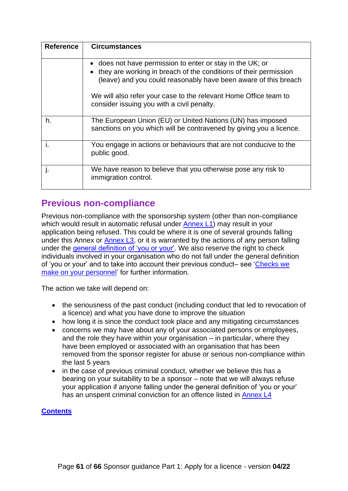| <b>Reference</b> | <b>Circumstances</b>                                                                                                                                                                           |
|------------------|------------------------------------------------------------------------------------------------------------------------------------------------------------------------------------------------|
|                  | does not have permission to enter or stay in the UK; or<br>they are working in breach of the conditions of their permission<br>(leave) and you could reasonably have been aware of this breach |
|                  | We will also refer your case to the relevant Home Office team to<br>consider issuing you with a civil penalty.                                                                                 |
| h.               | The European Union (EU) or United Nations (UN) has imposed<br>sanctions on you which will be contravened by giving you a licence.                                                              |
|                  | You engage in actions or behaviours that are not conducive to the<br>public good.                                                                                                              |
|                  | We have reason to believe that you otherwise pose any risk to<br>immigration control.                                                                                                          |

## <span id="page-60-0"></span>**Previous non-compliance**

Previous non-compliance with the sponsorship system (other than non-compliance which would result in automatic refusal under [Annex L1\)](#page-56-0) may result in your application being refused. This could be where it is one of several grounds falling under this Annex or [Annex L3,](#page-61-0) or it is warranted by the actions of any person falling under the [general definition of 'you or your'.](#page-10-1) We also reserve the right to check individuals involved in your organisation who do not fall under the general definition of 'you or your' and to take into account their previous conduct– see ['Checks we](#page-22-0)  [make on your personnel'](#page-22-0) for further information.

The action we take will depend on:

- the seriousness of the past conduct (including conduct that led to revocation of a licence) and what you have done to improve the situation
- how long it is since the conduct took place and any mitigating circumstances
- concerns we may have about any of your associated persons or employees, and the role they have within your organisation  $-$  in particular, where they have been employed or associated with an organisation that has been removed from the sponsor register for abuse or serious non-compliance within the last 5 years
- in the case of previous criminal conduct, whether we believe this has a bearing on your suitability to be a sponsor – note that we will always refuse your application if anyone falling under the general definition of 'you or your' has an unspent criminal conviction for an offence listed in [Annex L4](#page-62-0)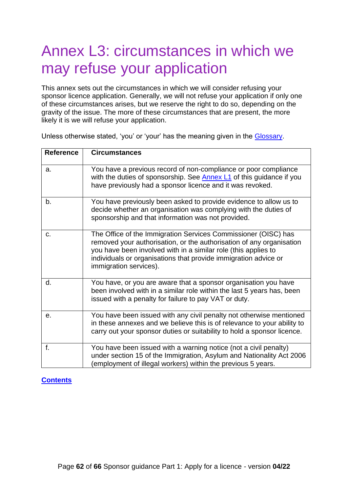# <span id="page-61-0"></span>Annex L3: circumstances in which we may refuse your application

This annex sets out the circumstances in which we will consider refusing your sponsor licence application. Generally, we will not refuse your application if only one of these circumstances arises, but we reserve the right to do so, depending on the gravity of the issue. The more of these circumstances that are present, the more likely it is we will refuse your application.

| <b>Reference</b> | <b>Circumstances</b>                                                                                                                                                                                                                                                                                  |
|------------------|-------------------------------------------------------------------------------------------------------------------------------------------------------------------------------------------------------------------------------------------------------------------------------------------------------|
| a.               | You have a previous record of non-compliance or poor compliance<br>with the duties of sponsorship. See <b>Annex L1</b> of this guidance if you<br>have previously had a sponsor licence and it was revoked.                                                                                           |
| b.               | You have previously been asked to provide evidence to allow us to<br>decide whether an organisation was complying with the duties of<br>sponsorship and that information was not provided.                                                                                                            |
| C.               | The Office of the Immigration Services Commissioner (OISC) has<br>removed your authorisation, or the authorisation of any organisation<br>you have been involved with in a similar role (this applies to<br>individuals or organisations that provide immigration advice or<br>immigration services). |
| d.               | You have, or you are aware that a sponsor organisation you have<br>been involved with in a similar role within the last 5 years has, been<br>issued with a penalty for failure to pay VAT or duty.                                                                                                    |
| е.               | You have been issued with any civil penalty not otherwise mentioned<br>in these annexes and we believe this is of relevance to your ability to<br>carry out your sponsor duties or suitability to hold a sponsor licence.                                                                             |
| f.               | You have been issued with a warning notice (not a civil penalty)<br>under section 15 of the Immigration, Asylum and Nationality Act 2006<br>employment of illegal workers) within the previous 5 years.                                                                                               |

Unless otherwise stated, 'you' or 'your' has the meaning given in the [Glossary.](#page-8-0)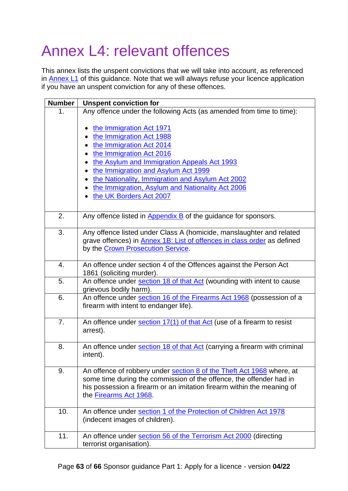# <span id="page-62-0"></span>Annex L4: relevant offences

This annex lists the unspent convictions that we will take into account, as referenced in [Annex L1](#page-56-0) of this guidance. Note that we will always refuse your licence application if you have an unspent conviction for any of these offences.

| <b>Number</b> | <b>Unspent conviction for</b>                                                                                                                                                                                                                                                                                                                           |
|---------------|---------------------------------------------------------------------------------------------------------------------------------------------------------------------------------------------------------------------------------------------------------------------------------------------------------------------------------------------------------|
| 1.            | Any offence under the following Acts (as amended from time to time):                                                                                                                                                                                                                                                                                    |
|               | the Immigration Act 1971<br>$\bullet$<br>the Immigration Act 1988<br>the Immigration Act 2014<br>the Immigration Act 2016<br>٠<br>the Asylum and Immigration Appeals Act 1993<br>the Immigration and Asylum Act 1999<br>the Nationality, Immigration and Asylum Act 2002<br>the Immigration, Asylum and Nationality Act 2006<br>the UK Borders Act 2007 |
| 2.            | Any offence listed in $\Delta$ ppendix $\overline{B}$ of the guidance for sponsors.                                                                                                                                                                                                                                                                     |
| 3.            | Any offence listed under Class A (homicide, manslaughter and related<br>grave offences) in <b>Annex 1B: List of offences in class order</b> as defined<br>by the Crown Prosecution Service.                                                                                                                                                             |
| 4.            | An offence under section 4 of the Offences against the Person Act<br>1861 (soliciting murder).                                                                                                                                                                                                                                                          |
| 5.            | An offence under section 18 of that Act (wounding with intent to cause<br>grievous bodily harm).                                                                                                                                                                                                                                                        |
| 6.            | An offence under section 16 of the Firearms Act 1968 (possession of a<br>firearm with intent to endanger life).                                                                                                                                                                                                                                         |
| 7.            | An offence under section 17(1) of that Act (use of a firearm to resist<br>arrest).                                                                                                                                                                                                                                                                      |
| 8.            | An offence under section 18 of that Act (carrying a firearm with criminal<br>intent).                                                                                                                                                                                                                                                                   |
| 9.            | An offence of robbery under section 8 of the Theft Act 1968 where, at<br>some time during the commission of the offence, the offender had in<br>his possession a firearm or an imitation firearm within the meaning of<br>the Firearms Act 1968.                                                                                                        |
| 10.           | An offence under section 1 of the Protection of Children Act 1978<br>(indecent images of children).                                                                                                                                                                                                                                                     |
| 11.           | An offence under section 56 of the Terrorism Act 2000 (directing<br>terrorist organisation).                                                                                                                                                                                                                                                            |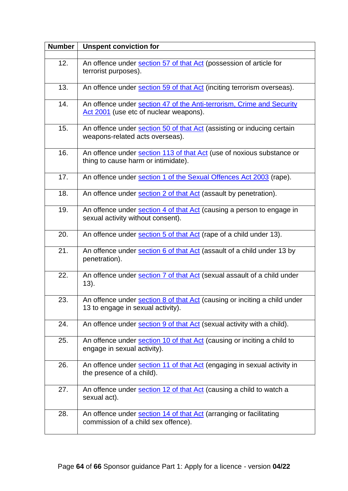| <b>Number</b> | <b>Unspent conviction for</b>                                                                                         |
|---------------|-----------------------------------------------------------------------------------------------------------------------|
| 12.           |                                                                                                                       |
|               | An offence under section 57 of that Act (possession of article for<br>terrorist purposes).                            |
| 13.           | An offence under section 59 of that Act (inciting terrorism overseas).                                                |
| 14.           | An offence under section 47 of the Anti-terrorism, Crime and Security<br>Act 2001 (use etc of nuclear weapons).       |
| 15.           | An offence under section 50 of that Act (assisting or inducing certain<br>weapons-related acts overseas).             |
| 16.           | An offence under section 113 of that Act (use of noxious substance or<br>thing to cause harm or intimidate).          |
| 17.           | An offence under section 1 of the Sexual Offences Act 2003 (rape).                                                    |
| 18.           | An offence under section 2 of that Act (assault by penetration).                                                      |
| 19.           | An offence under section 4 of that Act (causing a person to engage in<br>sexual activity without consent).            |
| 20.           | An offence under section 5 of that Act (rape of a child under 13).                                                    |
| 21.           | An offence under section 6 of that Act (assault of a child under 13 by<br>penetration).                               |
| 22.           | An offence under section 7 of that Act (sexual assault of a child under<br>13).                                       |
| 23.           | An offence under <b>section 8 of that Act</b> (causing or inciting a child under<br>13 to engage in sexual activity). |
| 24.           | An offence under section 9 of that Act (sexual activity with a child).                                                |
| 25.           | An offence under <b>section 10 of that Act</b> (causing or inciting a child to<br>engage in sexual activity).         |
| 26.           | An offence under section 11 of that Act (engaging in sexual activity in<br>the presence of a child).                  |
| 27.           | An offence under section 12 of that Act (causing a child to watch a<br>sexual act).                                   |
| 28.           | An offence under section 14 of that Act (arranging or facilitating<br>commission of a child sex offence).             |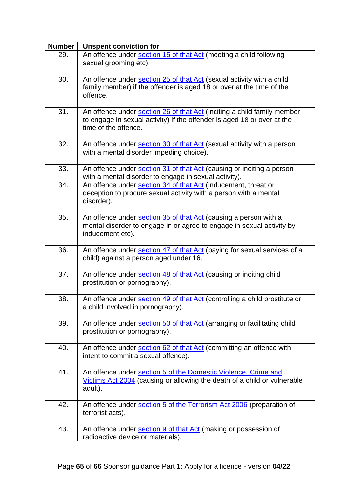| <b>Number</b> | <b>Unspent conviction for</b>                                                                                                                                              |
|---------------|----------------------------------------------------------------------------------------------------------------------------------------------------------------------------|
| 29.           | An offence under section 15 of that Act (meeting a child following<br>sexual grooming etc).                                                                                |
| 30.           | An offence under section 25 of that Act (sexual activity with a child<br>family member) if the offender is aged 18 or over at the time of the<br>offence.                  |
| 31.           | An offence under section 26 of that Act (inciting a child family member<br>to engage in sexual activity) if the offender is aged 18 or over at the<br>time of the offence. |
| 32.           | An offence under section 30 of that Act (sexual activity with a person<br>with a mental disorder impeding choice).                                                         |
| 33.           | An offence under section 31 of that Act (causing or inciting a person<br>with a mental disorder to engage in sexual activity).                                             |
| 34.           | An offence under section 34 of that Act (inducement, threat or<br>deception to procure sexual activity with a person with a mental<br>disorder).                           |
| 35.           | An offence under section 35 of that Act (causing a person with a<br>mental disorder to engage in or agree to engage in sexual activity by<br>inducement etc).              |
| 36.           | An offence under section 47 of that Act (paying for sexual services of a<br>child) against a person aged under 16.                                                         |
| 37.           | An offence under section 48 of that Act (causing or inciting child<br>prostitution or pornography).                                                                        |
| 38.           | An offence under section 49 of that Act (controlling a child prostitute or<br>a child involved in pornography).                                                            |
| 39.           | An offence under section 50 of that Act (arranging or facilitating child<br>prostitution or pornography).                                                                  |
| 40.           | An offence under section 62 of that Act (committing an offence with<br>intent to commit a sexual offence).                                                                 |
| 41.           | An offence under section 5 of the Domestic Violence, Crime and<br>Victims Act 2004 (causing or allowing the death of a child or vulnerable<br>adult).                      |
| 42.           | An offence under section 5 of the Terrorism Act 2006 (preparation of<br>terrorist acts).                                                                                   |
| 43.           | An offence under section 9 of that Act (making or possession of<br>radioactive device or materials).                                                                       |